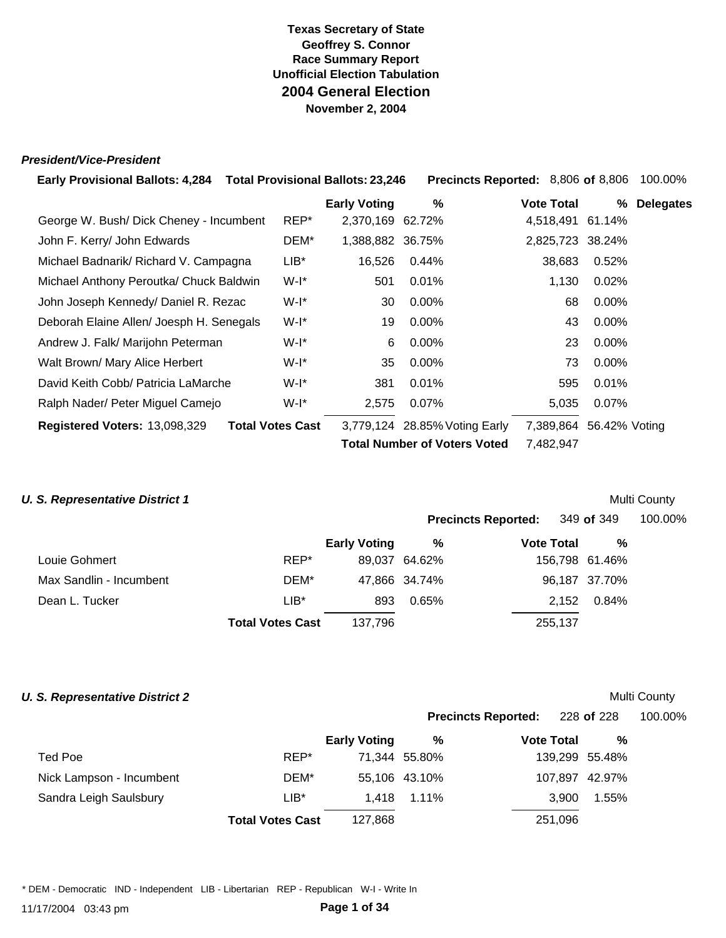#### *President/Vice-President*

| <b>Early Provisional Ballots: 4,284  Total Provisional Ballots: 23,246</b> |                         |                     |                                     | Precincts Reported: 8,806 of 8,806 |               | 100.00%          |
|----------------------------------------------------------------------------|-------------------------|---------------------|-------------------------------------|------------------------------------|---------------|------------------|
|                                                                            |                         | <b>Early Voting</b> | %                                   | <b>Vote Total</b>                  | %             | <b>Delegates</b> |
| George W. Bush/Dick Cheney - Incumbent                                     | REP*                    | 2,370,169 62.72%    |                                     | 4,518,491                          | 61.14%        |                  |
| John F. Kerry/ John Edwards                                                | DEM*                    | 1,388,882 36.75%    |                                     | 2,825,723 38.24%                   |               |                  |
| Michael Badnarik/ Richard V. Campagna                                      | LIB*                    | 16,526              | 0.44%                               | 38,683                             | 0.52%         |                  |
| Michael Anthony Peroutka/ Chuck Baldwin                                    | W-l*                    | 501                 | 0.01%                               | 1,130                              | 0.02%         |                  |
| John Joseph Kennedy/ Daniel R. Rezac                                       | W-I*                    | 30                  | 0.00%                               | 68                                 | $0.00\%$      |                  |
| Deborah Elaine Allen/ Joesph H. Senegals                                   | W-I*                    | 19                  | $0.00\%$                            | 43                                 | $0.00\%$      |                  |
| Andrew J. Falk/ Marijohn Peterman                                          | W-I*                    | 6                   | $0.00\%$                            | 23                                 | $0.00\%$      |                  |
| Walt Brown/ Mary Alice Herbert                                             | W-l*                    | 35                  | $0.00\%$                            | 73                                 | 0.00%         |                  |
| David Keith Cobb/ Patricia LaMarche                                        | $W-I^*$                 | 381                 | 0.01%                               | 595                                | 0.01%         |                  |
| Ralph Nader/ Peter Miguel Camejo                                           | W-I*                    | 2,575               | 0.07%                               | 5,035                              | 0.07%         |                  |
| Registered Voters: 13,098,329                                              | <b>Total Votes Cast</b> |                     | 3,779,124 28.85% Voting Early       | 7,389,864                          | 56.42% Voting |                  |
|                                                                            |                         |                     | <b>Total Number of Voters Voted</b> | 7,482,947                          |               |                  |
|                                                                            |                         |                     |                                     |                                    |               |                  |

#### **U. S. Representative District 1** Multi County

|                         |                         |                     |               | <b>Precincts Reported:</b> 349 of 349 |                | 100.00% |
|-------------------------|-------------------------|---------------------|---------------|---------------------------------------|----------------|---------|
|                         |                         | <b>Early Voting</b> | %             | <b>Vote Total</b>                     | %              |         |
| Louie Gohmert           | REP*                    |                     | 89,037 64.62% |                                       | 156,798 61.46% |         |
| Max Sandlin - Incumbent | DEM*                    |                     | 47,866 34.74% |                                       | 96,187 37.70%  |         |
| Dean L. Tucker          | $LIB*$                  | 893                 | 0.65%         |                                       | 0.84%<br>2,152 |         |
|                         | <b>Total Votes Cast</b> | 137.796             |               | 255,137                               |                |         |
|                         |                         |                     |               |                                       |                |         |

#### **U. S. Representative District 2** Multi County

|                          |                         |                     | <b>Precincts Reported:</b> |                   | 228 <b>of</b> 228 | 100.00% |  |
|--------------------------|-------------------------|---------------------|----------------------------|-------------------|-------------------|---------|--|
|                          |                         | <b>Early Voting</b> | %                          | <b>Vote Total</b> | %                 |         |  |
| Ted Poe                  | REP*                    |                     | 71,344 55.80%              |                   | 139,299 55.48%    |         |  |
| Nick Lampson - Incumbent | DEM*                    |                     | 55,106 43.10%              |                   | 107,897 42.97%    |         |  |
| Sandra Leigh Saulsbury   | $LIB*$                  | 1.418               | 1.11%                      |                   | 1.55%<br>3.900    |         |  |
|                          | <b>Total Votes Cast</b> | 127,868             |                            | 251,096           |                   |         |  |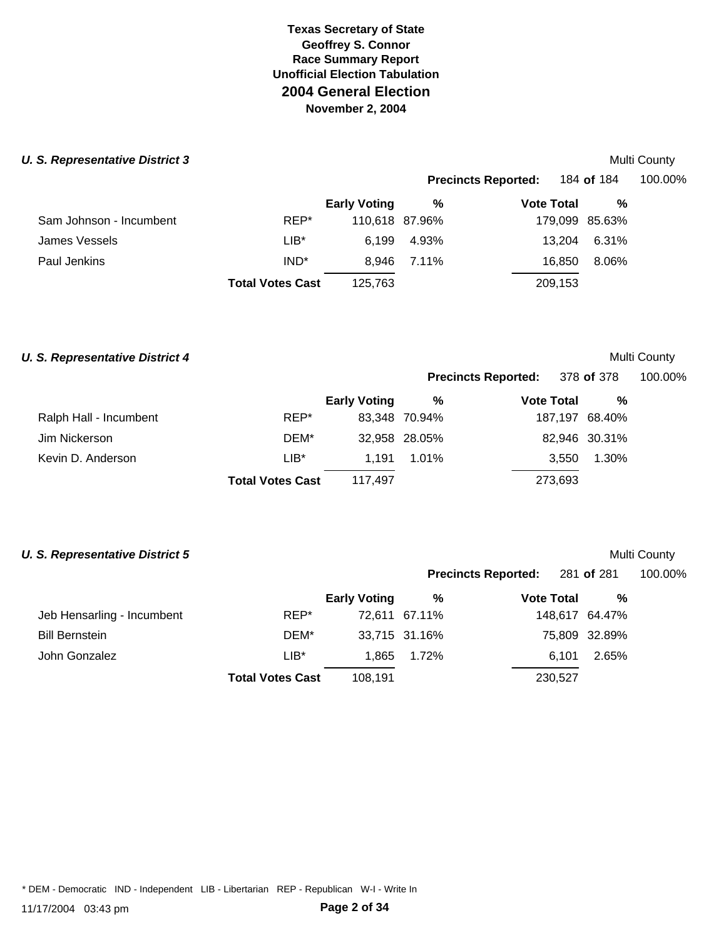# **U. S. Representative District 3** Multi County

| 0. 1100.00011101110 DISUIDI O |                         |                     |                | <b>IVIUIU VUUILY</b>       |                |         |  |
|-------------------------------|-------------------------|---------------------|----------------|----------------------------|----------------|---------|--|
|                               |                         |                     |                | <b>Precincts Reported:</b> | 184 of 184     | 100.00% |  |
|                               |                         | <b>Early Voting</b> | %              | <b>Vote Total</b>          | %              |         |  |
| Sam Johnson - Incumbent       | REP*                    |                     | 110,618 87.96% |                            | 179,099 85.63% |         |  |
| James Vessels                 | $LIB^*$                 | 6.199               | 4.93%          | 13.204                     | 6.31%          |         |  |
| Paul Jenkins                  | IND <sup>*</sup>        | 8.946               | 7.11%          | 16.850                     | 8.06%          |         |  |
|                               | <b>Total Votes Cast</b> | 125,763             |                | 209,153                    |                |         |  |
|                               |                         |                     |                |                            |                |         |  |

#### **U. S. Representative District 4** Multi County

| <b>Precincts Reported:</b> | 378 of 378        |   | 100.00% |
|----------------------------|-------------------|---|---------|
| %                          | <b>Vote Total</b> | % |         |

|                        |                         | <b>Early Voting</b> | %             | <b>Vote Total</b> | %             |
|------------------------|-------------------------|---------------------|---------------|-------------------|---------------|
| Ralph Hall - Incumbent | REP*                    |                     | 83.348 70.94% | 187,197 68.40%    |               |
| Jim Nickerson          | DEM*                    |                     | 32,958 28.05% |                   | 82,946 30.31% |
| Kevin D. Anderson      | $LIB^*$                 | 1.191               | 1.01%         | 3.550             | 1.30%         |
|                        | <b>Total Votes Cast</b> | 117.497             |               | 273,693           |               |

### **U. S. Representative District 5** Multi County

|                            |                         |                     |               | Precincts Reported: 281 of 281 |                | 100.00% |
|----------------------------|-------------------------|---------------------|---------------|--------------------------------|----------------|---------|
|                            |                         | <b>Early Voting</b> | %             | <b>Vote Total</b>              | %              |         |
| Jeb Hensarling - Incumbent | REP*                    |                     | 72.611 67.11% |                                | 148,617 64.47% |         |
| <b>Bill Bernstein</b>      | DEM*                    |                     | 33,715 31.16% |                                | 75,809 32.89%  |         |
| John Gonzalez              | $LIB*$                  | 1.865               | 1.72%         | 6.101                          | 2.65%          |         |
|                            | <b>Total Votes Cast</b> | 108.191             |               | 230,527                        |                |         |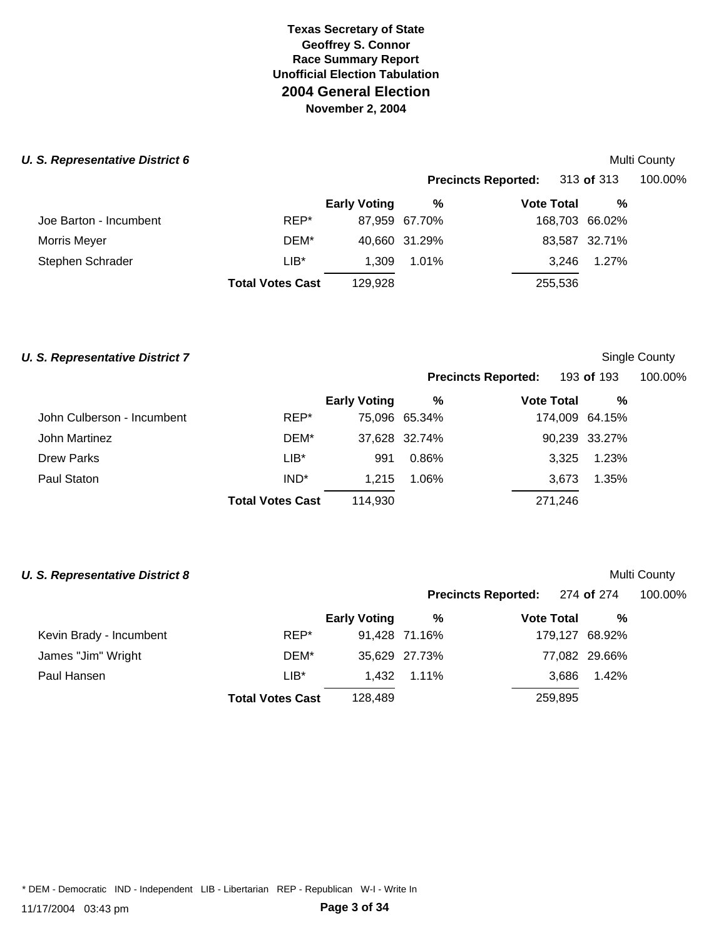# **U. S. Representative District 6** Multi County

|                        |                         |                     |               |                            |                | www.com |
|------------------------|-------------------------|---------------------|---------------|----------------------------|----------------|---------|
|                        |                         |                     |               | <b>Precincts Reported:</b> | 313 of 313     | 100.00% |
|                        |                         | <b>Early Voting</b> | %             | <b>Vote Total</b>          | %              |         |
| Joe Barton - Incumbent | REP*                    |                     | 87,959 67.70% |                            | 168,703 66.02% |         |
| Morris Meyer           | DEM*                    |                     | 40,660 31.29% |                            | 83,587 32.71%  |         |
| Stephen Schrader       | $LIB*$                  | 1.309               | 1.01%         | 3.246                      | 1.27%          |         |
|                        | <b>Total Votes Cast</b> | 129.928             |               | 255,536                    |                |         |
|                        |                         |                     |               |                            |                |         |

#### **U. S. Representative District 7** Single County

**Precincts Reported:** 193 **of** 193 100.00%

**Precincts Reported:** 274 **of** 274 100.00%

|                            |                         | <b>Early Voting</b> | %             | <b>Vote Total</b> | %              |
|----------------------------|-------------------------|---------------------|---------------|-------------------|----------------|
| John Culberson - Incumbent | REP*                    |                     | 75,096 65.34% |                   | 174,009 64.15% |
| John Martinez              | DEM*                    |                     | 37,628 32.74% |                   | 90,239 33.27%  |
| <b>Drew Parks</b>          | $LIB*$                  | 991                 | 0.86%         | 3.325             | 1.23%          |
| Paul Staton                | IND <sup>*</sup>        | 1.215               | 1.06%         | 3.673             | 1.35%          |
|                            | <b>Total Votes Cast</b> | 114.930             |               | 271,246           |                |
|                            |                         |                     |               |                   |                |

### **U. S. Representative District 8** Multi County

|                         |                         | <b>Early Voting</b> | %             | <b>Vote Total</b> | %              |
|-------------------------|-------------------------|---------------------|---------------|-------------------|----------------|
| Kevin Brady - Incumbent | REP*                    |                     | 91,428 71.16% |                   | 179,127 68.92% |
| James "Jim" Wright      | DEM*                    |                     | 35,629 27.73% |                   | 77,082 29.66%  |
| Paul Hansen             | $LIB*$                  |                     | 1.432 1.11%   | 3.686             | 1.42%          |
|                         | <b>Total Votes Cast</b> | 128.489             |               | 259,895           |                |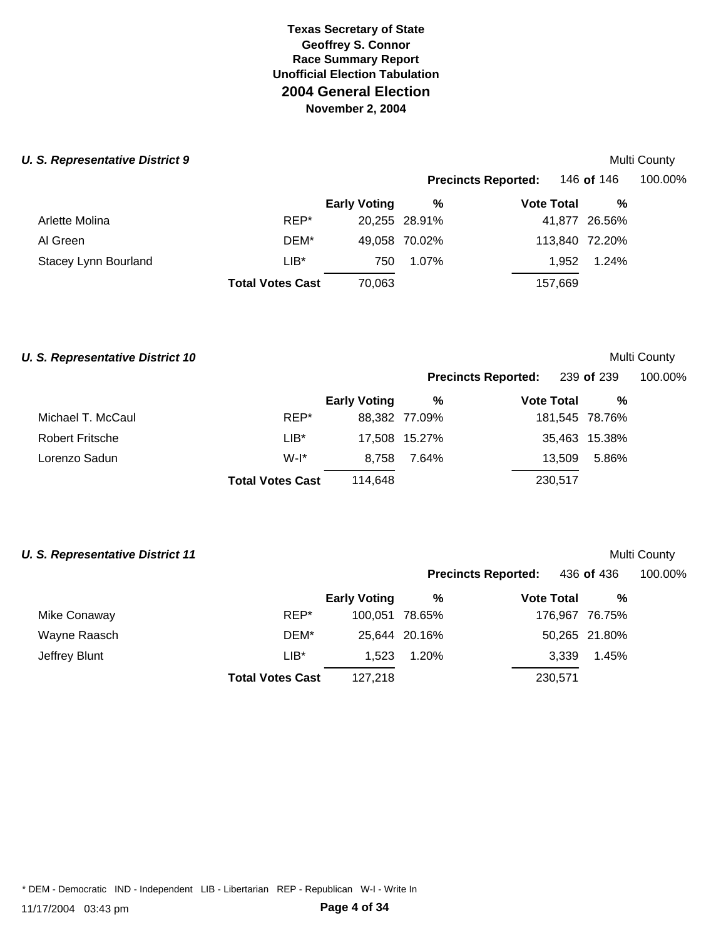#### **U. S. Representative District 9** Multi County **Multi County and Automatic Property Automatic Property Automatic Property Automatic Property Automatic Property Automatic Property Automatic Property Automatic Property Autom**

|                      |                         |                     |               | <b>Precincts Reported:</b> | 146 of 146     | 100.00% |
|----------------------|-------------------------|---------------------|---------------|----------------------------|----------------|---------|
|                      |                         | <b>Early Voting</b> | %             | <b>Vote Total</b>          | %              |         |
| Arlette Molina       | REP*                    |                     | 20,255 28.91% |                            | 41,877 26.56%  |         |
| Al Green             | DEM*                    |                     | 49,058 70.02% |                            | 113,840 72.20% |         |
| Stacey Lynn Bourland | $LIB*$                  | 750                 | 1.07%         | 1.952                      | 1.24%          |         |
|                      | <b>Total Votes Cast</b> | 70,063              |               | 157,669                    |                |         |
|                      |                         |                     |               |                            |                |         |

#### **U. S. Representative District 10** Multi County

# **Precincts Reported:** 239 **of** 239 100.00%

|                   |                         | <b>Early Voting</b> | %             | <b>Vote Total</b> | %              |
|-------------------|-------------------------|---------------------|---------------|-------------------|----------------|
| Michael T. McCaul | REP*                    |                     | 88,382 77.09% |                   | 181,545 78.76% |
| Robert Fritsche   | LIB*                    |                     | 17,508 15.27% |                   | 35,463 15.38%  |
| Lorenzo Sadun     | $W-I^*$                 | 8.758               | 7.64%         | 13.509            | 5.86%          |
|                   | <b>Total Votes Cast</b> | 114.648             |               | 230,517           |                |
|                   |                         |                     |               |                   |                |

### **U. S. Representative District 11** Multi County

|               |                         |                     |               | <b>Precincts Reported:</b> | 436 <b>of</b> 436 | 100.00% |
|---------------|-------------------------|---------------------|---------------|----------------------------|-------------------|---------|
|               |                         | <b>Early Voting</b> | %             | <b>Vote Total</b>          | %                 |         |
| Mike Conaway  | REP*                    | 100.051 78.65%      |               |                            | 176,967 76.75%    |         |
| Wayne Raasch  | DEM*                    |                     | 25.644 20.16% |                            | 50,265 21.80%     |         |
| Jeffrey Blunt | LIB*                    | 1.523               | 1.20%         | 3.339                      | 1.45%             |         |
|               | <b>Total Votes Cast</b> | 127,218             |               | 230,571                    |                   |         |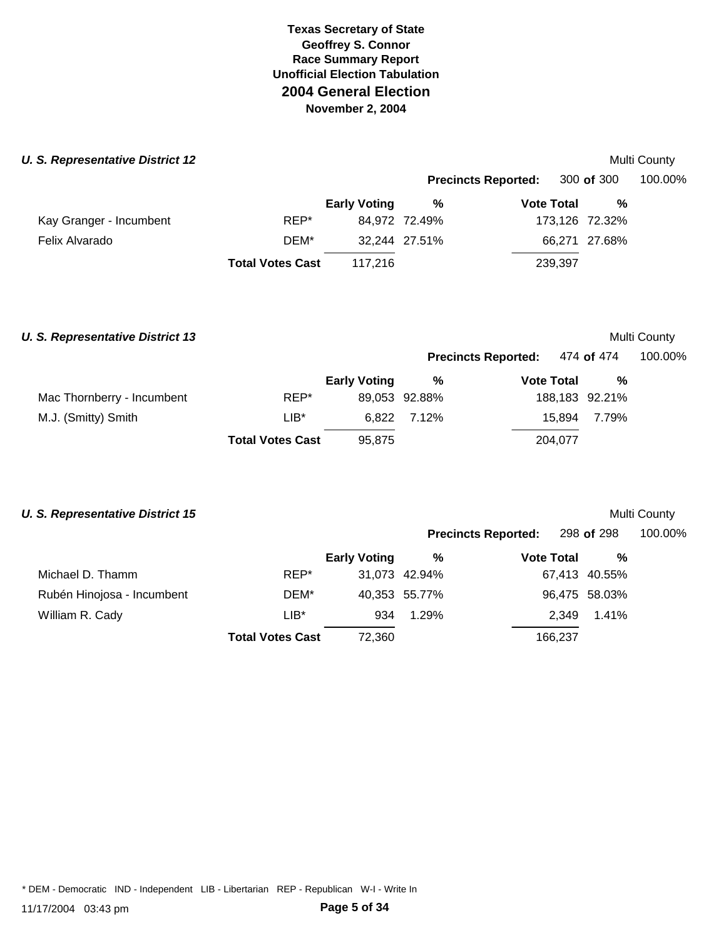### **U. S. Representative District 12** Multi County of the state of the state of the state of the state of the state of the state of the state of the state of the state of the state of the state of the state of the state of th

| 0. Representative District IZ |                         |                     |               | <b>IVIUILI OUUIILY</b>     |                |         |
|-------------------------------|-------------------------|---------------------|---------------|----------------------------|----------------|---------|
|                               |                         |                     |               | <b>Precincts Reported:</b> | 300 of 300     | 100.00% |
|                               |                         | <b>Early Voting</b> | %             | <b>Vote Total</b>          | %              |         |
| Kay Granger - Incumbent       | REP*                    |                     | 84,972 72.49% |                            | 173,126 72.32% |         |
| Felix Alvarado                | DEM*                    |                     | 32,244 27.51% |                            | 66,271 27.68%  |         |
|                               | <b>Total Votes Cast</b> | 117.216             |               | 239,397                    |                |         |
|                               |                         |                     |               |                            |                |         |

### **U. S. Representative District 13** Multi County

**Precincts Reported:** 474 **of** 474 100.00%

|                            |                         | <b>Early Voting</b> | %             | <b>Vote Total</b> | %            |  |
|----------------------------|-------------------------|---------------------|---------------|-------------------|--------------|--|
| Mac Thornberry - Incumbent | REP*                    |                     | 89,053 92.88% | 188,183 92.21%    |              |  |
| M.J. (Smitty) Smith        | LIB*                    |                     | 6.822 7.12%   |                   | 15.894 7.79% |  |
|                            | <b>Total Votes Cast</b> | 95.875              |               | 204.077           |              |  |

### **U. S. Representative District 15** Multi County

|                            |                         |                     |               | <b>Precincts Reported:</b> | 298 of 298    | 100.00% |
|----------------------------|-------------------------|---------------------|---------------|----------------------------|---------------|---------|
|                            |                         | <b>Early Voting</b> | %             | <b>Vote Total</b>          | %             |         |
| Michael D. Thamm           | REP*                    |                     | 31,073 42.94% |                            | 67,413 40.55% |         |
| Rubén Hinojosa - Incumbent | DEM*                    |                     | 40,353 55.77% |                            | 96,475 58.03% |         |
| William R. Cady            | $LIB^*$                 | 934                 | 1.29%         | 2.349                      | 1.41%         |         |
|                            | <b>Total Votes Cast</b> | 72,360              |               | 166,237                    |               |         |
|                            |                         |                     |               |                            |               |         |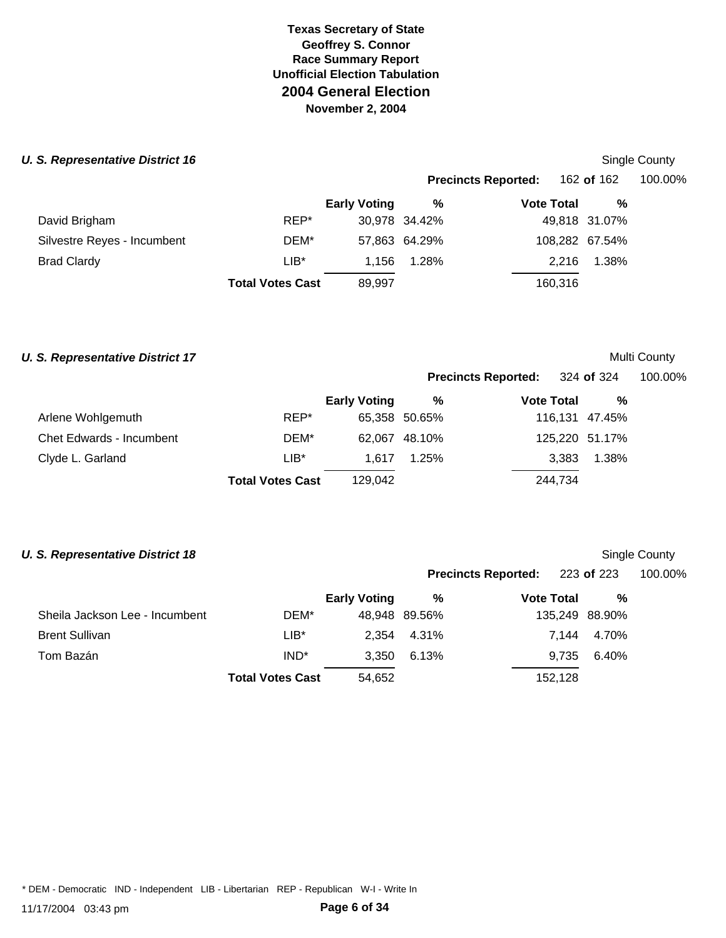#### **U. S. Representative District 16** Single County of the state of the state of the state of the state County of the state of the state of the state of the state of the state of the state of the state of the state of the sta

|                             |                         |                     |               | <b>Precincts Reported:</b> | 162 of 162     | 100.00% |  |
|-----------------------------|-------------------------|---------------------|---------------|----------------------------|----------------|---------|--|
|                             |                         | <b>Early Voting</b> | %             | <b>Vote Total</b>          | %              |         |  |
| David Brigham               | REP*                    |                     | 30,978 34.42% |                            | 49,818 31.07%  |         |  |
| Silvestre Reyes - Incumbent | DEM*                    |                     | 57,863 64.29% |                            | 108,282 67.54% |         |  |
| <b>Brad Clardy</b>          | $LIB^*$                 | 1.156               | 1.28%         | 2.216                      | 1.38%          |         |  |
|                             | <b>Total Votes Cast</b> | 89,997              |               | 160,316                    |                |         |  |
|                             |                         |                     |               |                            |                |         |  |

#### **U. S. Representative District 17** Multi County

|                                 |                         |                     |               | Precincts Reported: 324 of 324 |         |                | 100.00% |
|---------------------------------|-------------------------|---------------------|---------------|--------------------------------|---------|----------------|---------|
|                                 |                         | <b>Early Voting</b> | %             | <b>Vote Total</b>              |         | %              |         |
| Arlene Wohlgemuth               | REP*                    |                     | 65,358 50.65% |                                |         | 116,131 47.45% |         |
| <b>Chet Edwards - Incumbent</b> | DEM*                    |                     | 62,067 48.10% |                                |         | 125,220 51.17% |         |
| Clyde L. Garland                | $LIB*$                  | 1.617               | 1.25%         |                                | 3,383   | 1.38%          |         |
|                                 | <b>Total Votes Cast</b> | 129,042             |               |                                | 244,734 |                |         |

### **U. S. Representative District 18** Single County

|                  |                     |                         |                              |  |                              | 100.00%                                                                         |
|------------------|---------------------|-------------------------|------------------------------|--|------------------------------|---------------------------------------------------------------------------------|
|                  | <b>Early Voting</b> | %                       |                              |  | %                            |                                                                                 |
| DEM*             |                     |                         |                              |  |                              |                                                                                 |
| LIB*             |                     |                         |                              |  |                              |                                                                                 |
| IND <sup>*</sup> | 3,350               | 6.13%                   |                              |  | 6.40%                        |                                                                                 |
|                  | 54,652              |                         |                              |  |                              |                                                                                 |
|                  |                     | <b>Total Votes Cast</b> | 48,948 89.56%<br>2,354 4.31% |  | <b>Vote Total</b><br>152,128 | <b>Precincts Reported:</b> 223 of 223<br>135,249 88.90%<br>7.144 4.70%<br>9,735 |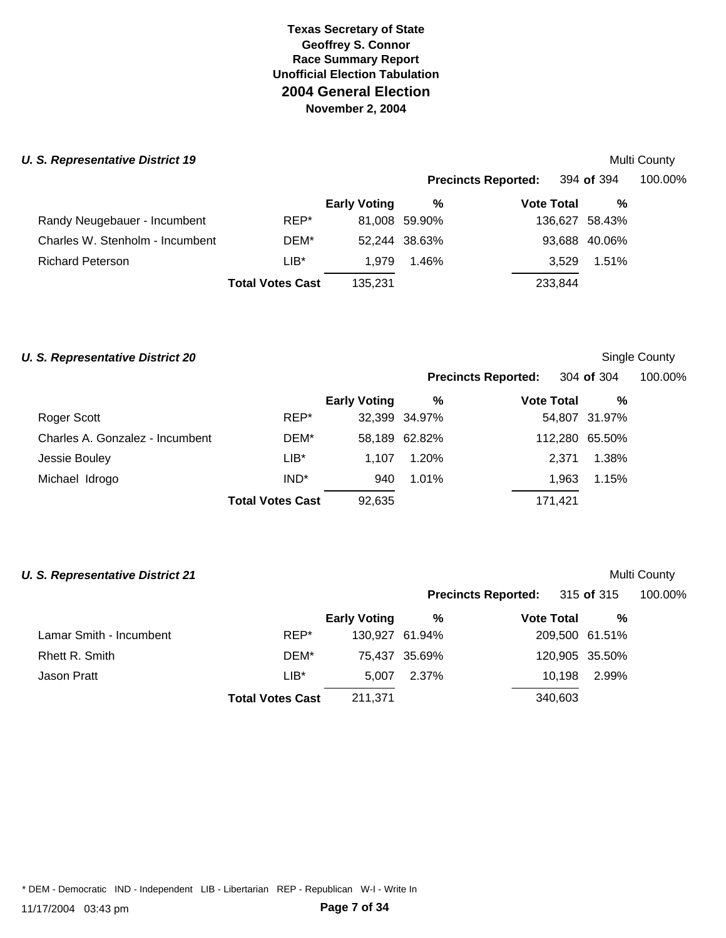### **U. S. Representative District 19** Multi County and **Multi County of the Structure of the Multi County of the Multi County of the Multi County of the Multi County of the Multi County of the Multi County of the Multi County**

|                                 |                         |                     |               | <b>Precincts Reported:</b> | 394 <b>of</b> 394 | 100.00% |  |
|---------------------------------|-------------------------|---------------------|---------------|----------------------------|-------------------|---------|--|
|                                 |                         | <b>Early Voting</b> | %             | <b>Vote Total</b>          | %                 |         |  |
| Randy Neugebauer - Incumbent    | REP*                    |                     | 81,008 59.90% |                            | 136,627 58.43%    |         |  |
| Charles W. Stenholm - Incumbent | DEM*                    |                     | 52,244 38.63% |                            | 93,688 40.06%     |         |  |
| <b>Richard Peterson</b>         | $LIB*$                  | 1.979               | 1.46%         | 3.529                      | 1.51%             |         |  |
|                                 | <b>Total Votes Cast</b> | 135.231             |               | 233,844                    |                   |         |  |
|                                 |                         |                     |               |                            |                   |         |  |

#### **U. S. Representative District 20** Single County

| <b>Precincts Reported:</b> |            | 304 <b>of</b> 304 | 100.00% |
|----------------------------|------------|-------------------|---------|
|                            | Mata Tatal |                   |         |

**Precincts Reported:** 315 **of** 315 100.00%

|                                 |                         | <b>Early Voting</b> | %             | <b>Vote Total</b> | $\frac{9}{6}$ |
|---------------------------------|-------------------------|---------------------|---------------|-------------------|---------------|
| Roger Scott                     | REP*                    |                     | 32,399 34.97% |                   | 54,807 31.97% |
| Charles A. Gonzalez - Incumbent | DEM*                    |                     | 58,189 62.82% | 112,280 65.50%    |               |
| Jessie Bouley                   | LIB*                    | 1.107               | 1.20%         |                   | 2.371 1.38%   |
| Michael Idrogo                  | IND <sup>*</sup>        | 940                 | 1.01%         | 1.963             | 1.15%         |
|                                 | <b>Total Votes Cast</b> | 92,635              |               | 171,421           |               |

#### **U. S. Representative District 21** Multi County

|                         |                         | <b>Early Voting</b> | %             | <b>Vote Total</b> | %              |
|-------------------------|-------------------------|---------------------|---------------|-------------------|----------------|
| Lamar Smith - Incumbent | REP*                    | 130,927 61.94%      |               |                   | 209,500 61.51% |
| Rhett R. Smith          | DEM*                    |                     | 75,437 35.69% |                   | 120,905 35.50% |
| Jason Pratt             | $LIB*$                  | 5.007               | 2.37%         | 10.198            | 2.99%          |
|                         | <b>Total Votes Cast</b> | 211,371             |               | 340,603           |                |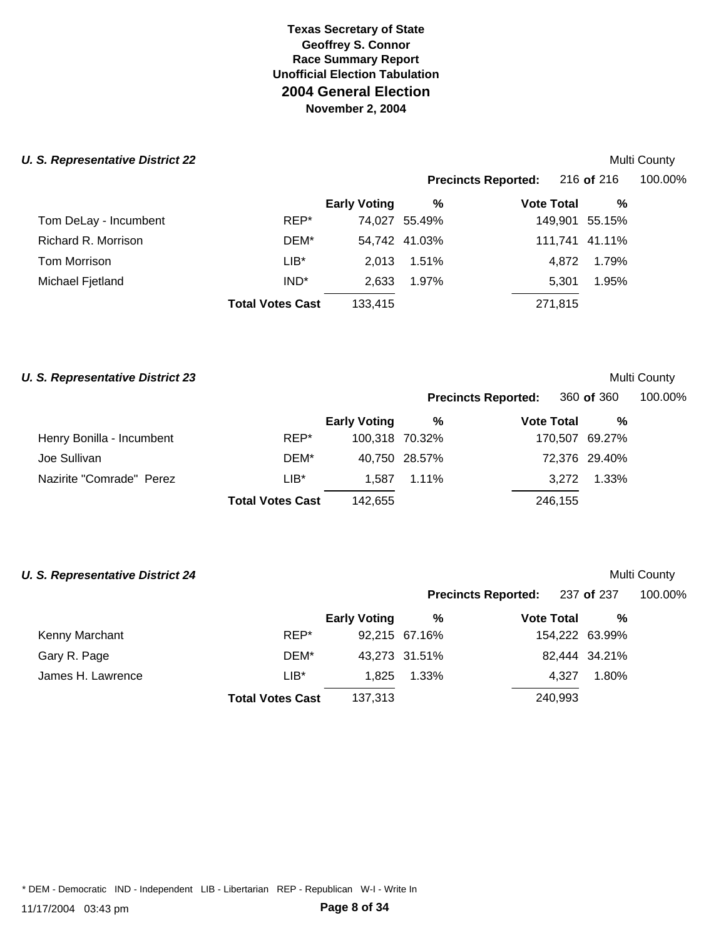# **U. S. Representative District 22** Multi County

| 3. Representative District ZZ |                         |                     |               |                            | <b>IVIUIU CUUIILY</b> |         |
|-------------------------------|-------------------------|---------------------|---------------|----------------------------|-----------------------|---------|
|                               |                         |                     |               | <b>Precincts Reported:</b> | 216 of 216            | 100.00% |
|                               |                         | <b>Early Voting</b> | %             | <b>Vote Total</b>          | %                     |         |
| Tom DeLay - Incumbent         | REP*                    |                     | 74,027 55.49% |                            | 149,901 55.15%        |         |
| Richard R. Morrison           | DEM*                    |                     | 54,742 41.03% |                            | 111,741 41.11%        |         |
| Tom Morrison                  | $LIB*$                  | 2.013               | 1.51%         | 4.872                      | 1.79%                 |         |
| Michael Fjetland              | IND <sup>*</sup>        | 2,633               | 1.97%         | 5.301                      | 1.95%                 |         |
|                               | <b>Total Votes Cast</b> | 133,415             |               | 271,815                    |                       |         |
|                               |                         |                     |               |                            |                       |         |

# **U. S. Representative District 23** Multi County

|                           |                         |                     | <b>Precincts Reported:</b> |                   | 360 of 360     | 100.00% |
|---------------------------|-------------------------|---------------------|----------------------------|-------------------|----------------|---------|
|                           |                         | <b>Early Voting</b> | %                          | <b>Vote Total</b> | %              |         |
| Henry Bonilla - Incumbent | REP*                    | 100,318 70.32%      |                            |                   | 170,507 69.27% |         |
| Joe Sullivan              | DEM*                    |                     | 40,750 28.57%              |                   | 72,376 29.40%  |         |
| Nazirite "Comrade" Perez  | $LIB*$                  | 1.587               | $1.11\%$                   | 3.272             | 1.33%          |         |
|                           | <b>Total Votes Cast</b> | 142.655             |                            | 246,155           |                |         |

#### **U. S. Representative District 24** Multi County

|                   |        |                     |               | Precincts Reported: 237 of 237 |                | 100.00% |  |
|-------------------|--------|---------------------|---------------|--------------------------------|----------------|---------|--|
|                   |        | <b>Early Voting</b> | %             | <b>Vote Total</b>              | %              |         |  |
| Kenny Marchant    | REP*   |                     | 92,215 67.16% |                                | 154,222 63.99% |         |  |
| Gary R. Page      | DEM*   |                     | 43,273 31.51% |                                | 82,444 34.21%  |         |  |
| James H. Lawrence | $LIB*$ | 1.825               | 1.33%         | 4.327                          | 1.80%          |         |  |
|                   |        |                     |               |                                |                |         |  |

**Total Votes Cast** 137,313 240,993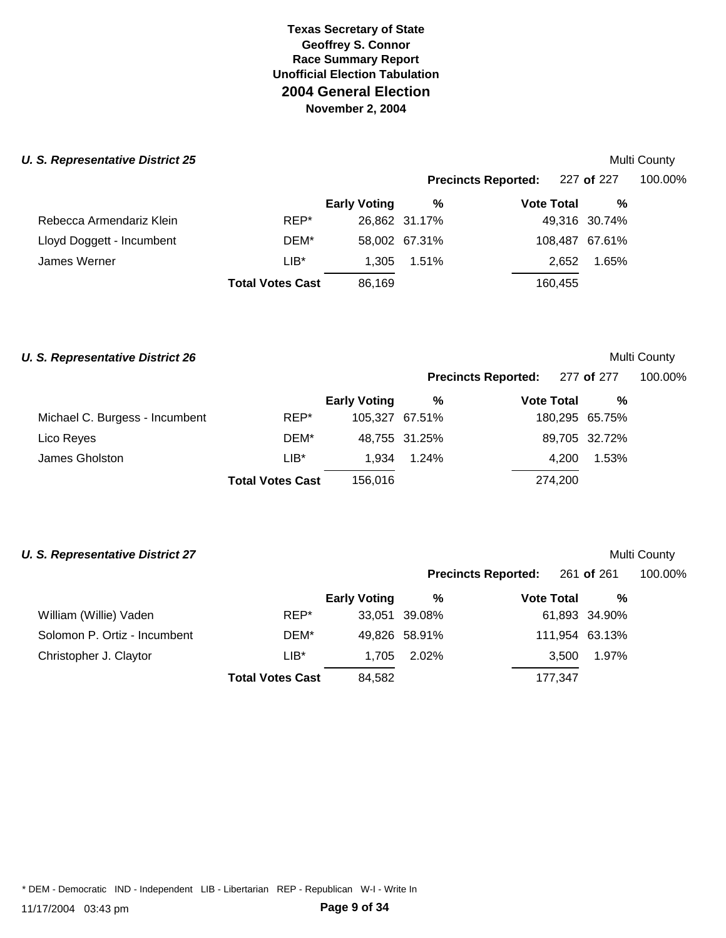### **U. S. Representative District 25** Multi County of the state of the state of the state of the state of the state of the state of the state of the state of the state of the state of the state of the state of the state of th

|                           |                         |                     |               | <b>Precincts Reported:</b> | 227 of 227     | 100.00% |
|---------------------------|-------------------------|---------------------|---------------|----------------------------|----------------|---------|
|                           |                         | <b>Early Voting</b> | %             | <b>Vote Total</b>          | %              |         |
| Rebecca Armendariz Klein  | REP*                    |                     | 26,862 31.17% |                            | 49,316 30.74%  |         |
| Lloyd Doggett - Incumbent | DEM*                    |                     | 58,002 67.31% |                            | 108,487 67.61% |         |
| James Werner              | $LIB^*$                 | 1.305               | 1.51%         | 2.652                      | 1.65%          |         |
|                           | <b>Total Votes Cast</b> | 86.169              |               | 160,455                    |                |         |
|                           |                         |                     |               |                            |                |         |

#### **U. S. Representative District 26** Multi County

| <b>Precincts Reported:</b> | 277 of 277 | 100.00% |
|----------------------------|------------|---------|
|                            |            |         |

|                                |                         | <b>Early Voting</b> | %             | <b>Vote Total</b> | %             |
|--------------------------------|-------------------------|---------------------|---------------|-------------------|---------------|
| Michael C. Burgess - Incumbent | REP*                    | 105.327 67.51%      |               | 180,295 65.75%    |               |
| Lico Reyes                     | DEM*                    |                     | 48,755 31.25% |                   | 89,705 32.72% |
| James Gholston                 | $LIB*$                  | 1.934               | 1.24%         | 4.200             | 1.53%         |
|                                | <b>Total Votes Cast</b> | 156.016             |               | 274,200           |               |

#### **U. S. Representative District 27** Multi County

|                              |                         |                     | <b>Precincts Reported:</b> |                   | 261 <b>of</b> 261 | 100.00% |
|------------------------------|-------------------------|---------------------|----------------------------|-------------------|-------------------|---------|
|                              |                         | <b>Early Voting</b> | %                          | <b>Vote Total</b> | %                 |         |
| William (Willie) Vaden       | REP*                    |                     | 33,051 39.08%              |                   | 61,893 34.90%     |         |
| Solomon P. Ortiz - Incumbent | DEM*                    |                     | 49,826 58.91%              |                   | 111,954 63.13%    |         |
| Christopher J. Claytor       | $LIB^*$                 | 1.705               | 2.02%                      | 3.500             | 1.97%             |         |
|                              | <b>Total Votes Cast</b> | 84,582              |                            | 177,347           |                   |         |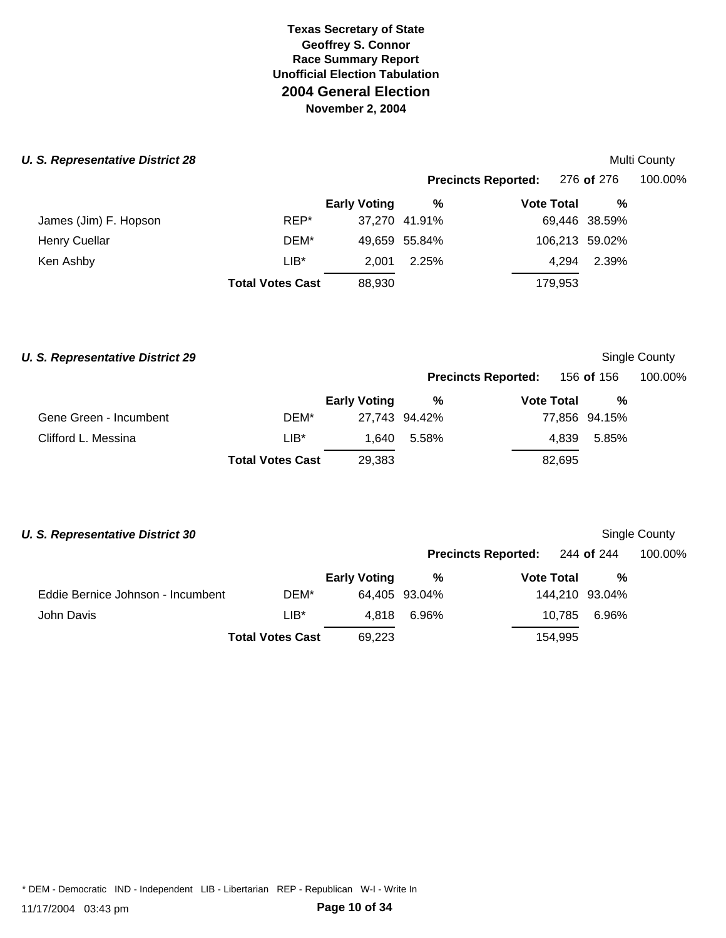#### **U. S. Representative District 28** Multi County of the *U.S. Representative District 28* Multi County

|                       |                         |                     |               | <b>Precincts Reported:</b> | 276 <b>of</b> 276 | 100.00% |
|-----------------------|-------------------------|---------------------|---------------|----------------------------|-------------------|---------|
|                       |                         | <b>Early Voting</b> | %             | <b>Vote Total</b>          | %                 |         |
| James (Jim) F. Hopson | REP*                    |                     | 37,270 41.91% |                            | 69,446 38.59%     |         |
| <b>Henry Cuellar</b>  | DEM*                    |                     | 49,659 55.84% |                            | 106,213 59.02%    |         |
| Ken Ashby             | $LIB^*$                 | 2.001               | 2.25%         | 4.294                      | 2.39%             |         |
|                       | <b>Total Votes Cast</b> | 88,930              |               | 179,953                    |                   |         |
|                       |                         |                     |               |                            |                   |         |

#### **U. S. Representative District 29** Single County

# **Precincts Reported:** 156 **of** 156 100.00%

|                        |                         | <b>Early Voting</b> | %             | <b>Vote Total</b> | %             |
|------------------------|-------------------------|---------------------|---------------|-------------------|---------------|
| Gene Green - Incumbent | DEM*                    |                     | 27.743 94.42% |                   | 77,856 94.15% |
| Clifford L. Messina    | LIB*                    |                     | 1.640 5.58%   |                   | 4.839 5.85%   |
|                        | <b>Total Votes Cast</b> | 29,383              |               | 82.695            |               |

#### **U. S. Representative District 30** Single County

|                                   |                         |                     |               | <b>Precincts Reported:</b> 244 of 244 |                | 100.00% |
|-----------------------------------|-------------------------|---------------------|---------------|---------------------------------------|----------------|---------|
|                                   |                         | <b>Early Voting</b> | %             | <b>Vote Total</b>                     | %              |         |
| Eddie Bernice Johnson - Incumbent | DEM*                    |                     | 64,405 93.04% |                                       | 144,210 93.04% |         |
| John Davis                        | LIB*                    | 4.818               | 6.96%         | 10.785                                | 6.96%          |         |
|                                   | <b>Total Votes Cast</b> | 69.223              |               | 154.995                               |                |         |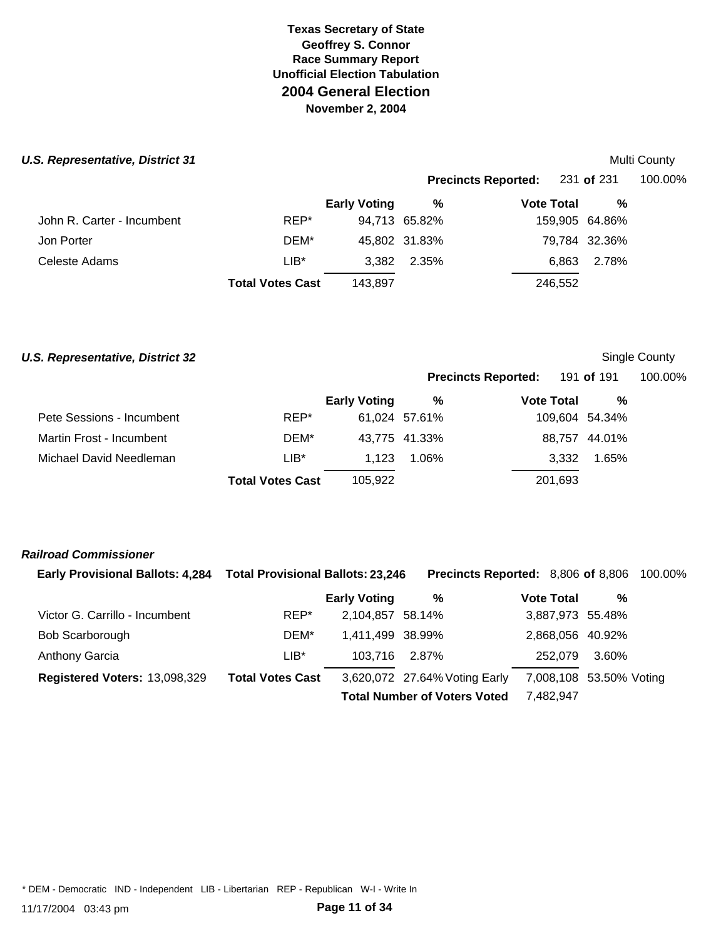### **U.S. Representative, District 31** Multi County and **Multi County and Automatic County Automatic County Automatic County Automatic County Automatic County Automatic County Automatic County Automatic County Automatic County**

|                            |                         |                     |               | www.com                    |                |         |  |
|----------------------------|-------------------------|---------------------|---------------|----------------------------|----------------|---------|--|
|                            |                         |                     |               | <b>Precincts Reported:</b> | 231 of 231     | 100.00% |  |
|                            |                         | <b>Early Voting</b> | %             | <b>Vote Total</b>          | %              |         |  |
| John R. Carter - Incumbent | REP*                    |                     | 94,713 65.82% |                            | 159,905 64.86% |         |  |
| Jon Porter                 | DEM*                    |                     | 45,802 31.83% |                            | 79,784 32.36%  |         |  |
| Celeste Adams              | $LIB*$                  | 3.382               | 2.35%         | 6.863                      | 2.78%          |         |  |
|                            | <b>Total Votes Cast</b> | 143.897             |               | 246,552                    |                |         |  |
|                            |                         |                     |               |                            |                |         |  |

#### **U.S. Representative, District 32** Single County

|                           |                         |                     |               | <b>Precincts Reported:</b> 191 of 191 |                |       | 100.00% |
|---------------------------|-------------------------|---------------------|---------------|---------------------------------------|----------------|-------|---------|
|                           |                         | <b>Early Voting</b> | %             | <b>Vote Total</b>                     |                | %     |         |
| Pete Sessions - Incumbent | REP*                    |                     | 61,024 57.61% |                                       | 109,604 54.34% |       |         |
| Martin Frost - Incumbent  | DEM*                    |                     | 43,775 41.33% |                                       | 88,757 44.01%  |       |         |
| Michael David Needleman   | LIB*                    | 1.123               | 1.06%         |                                       | 3.332          | 1.65% |         |
|                           | <b>Total Votes Cast</b> | 105.922             |               | 201,693                               |                |       |         |

#### *Railroad Commissioner*

| <b>Early Provisional Ballots: 4,284</b> | <b>Total Provisional Ballots: 23,246</b> |                     | Precincts Reported: 8,806 of 8,806  |                   |                         | 100.00% |
|-----------------------------------------|------------------------------------------|---------------------|-------------------------------------|-------------------|-------------------------|---------|
|                                         |                                          | <b>Early Voting</b> | %                                   | <b>Vote Total</b> | %                       |         |
| Victor G. Carrillo - Incumbent          | REP*                                     | 2,104,857 58.14%    |                                     |                   | 3,887,973 55.48%        |         |
| Bob Scarborough                         | DEM*                                     | 1.411.499 38.99%    |                                     |                   | 2,868,056 40.92%        |         |
| <b>Anthony Garcia</b>                   | LIB*                                     | 103.716             | 2.87%                               | 252.079           | 3.60%                   |         |
| Registered Voters: 13,098,329           | <b>Total Votes Cast</b>                  |                     | 3,620,072 27.64% Voting Early       |                   | 7,008,108 53.50% Voting |         |
|                                         |                                          |                     | <b>Total Number of Voters Voted</b> | 7,482,947         |                         |         |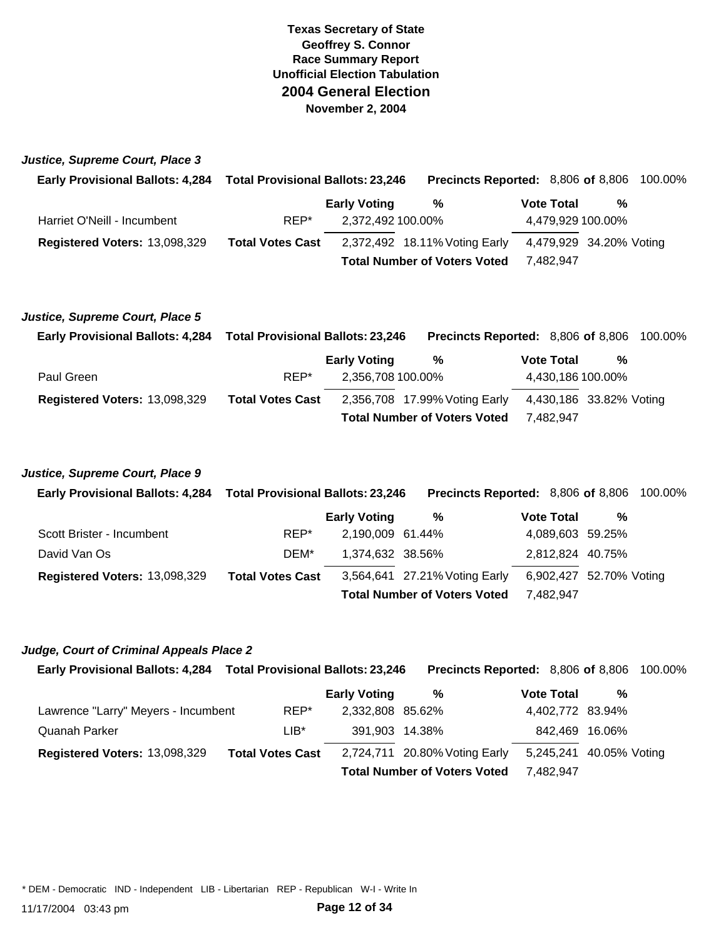*Justice, Supreme Court, Place 3*

| <b>Early Provisional Ballots: 4,284</b> | <b>Total Provisional Ballots: 23,246</b> |                     | <b>Precincts Reported: 8,806 of 8,806 100.00%</b> |  |                   |                         |  |
|-----------------------------------------|------------------------------------------|---------------------|---------------------------------------------------|--|-------------------|-------------------------|--|
|                                         |                                          | <b>Early Voting</b> | %                                                 |  | <b>Vote Total</b> | %                       |  |
| Harriet O'Neill - Incumbent             | REP*                                     | 2,372,492 100.00%   |                                                   |  |                   | 4,479,929 100.00%       |  |
| Registered Voters: 13,098,329           | <b>Total Votes Cast</b>                  |                     | 2,372,492 18.11% Voting Early                     |  |                   | 4,479,929 34.20% Voting |  |
|                                         |                                          |                     | <b>Total Number of Voters Voted</b>               |  | 7.482.947         |                         |  |

#### *Justice, Supreme Court, Place 5*

| <b>Early Provisional Ballots: 4,284</b> | Total Provisional Ballots: 23,246 |                     | <b>Precincts Reported: 8,806 of 8,806 100.00%</b> |  |                   |                         |  |
|-----------------------------------------|-----------------------------------|---------------------|---------------------------------------------------|--|-------------------|-------------------------|--|
|                                         |                                   | <b>Early Voting</b> | %                                                 |  | <b>Vote Total</b> | %                       |  |
| Paul Green                              | REP*                              | 2,356,708 100.00%   |                                                   |  |                   | 4,430,186 100.00%       |  |
| Registered Voters: 13,098,329           | <b>Total Votes Cast</b>           |                     | 2,356,708 17.99% Voting Early                     |  |                   | 4,430,186 33.82% Voting |  |
|                                         |                                   |                     | <b>Total Number of Voters Voted</b>               |  | 7.482.947         |                         |  |

# *Justice, Supreme Court, Place 9*

| Early Provisional Ballots: 4,284 Total Provisional Ballots: 23,246 |                         |                     | <b>Precincts Reported:</b> 8,806 of 8,806 100.00% |                   |                         |  |
|--------------------------------------------------------------------|-------------------------|---------------------|---------------------------------------------------|-------------------|-------------------------|--|
|                                                                    |                         | <b>Early Voting</b> | %                                                 | <b>Vote Total</b> | %                       |  |
| Scott Brister - Incumbent                                          | REP*                    | 2,190,009 61.44%    |                                                   |                   | 4,089,603 59.25%        |  |
| David Van Os                                                       | DEM*                    | 1,374,632 38.56%    |                                                   |                   | 2,812,824 40.75%        |  |
| Registered Voters: 13,098,329                                      | <b>Total Votes Cast</b> |                     | 3,564,641 27.21% Voting Early                     |                   | 6,902,427 52.70% Voting |  |
|                                                                    |                         |                     | <b>Total Number of Voters Voted</b>               | 7.482.947         |                         |  |

#### *Judge, Court of Criminal Appeals Place 2*

| Early Provisional Ballots: 4,284 Total Provisional Ballots: 23,246 |                         |                     | <b>Precincts Reported: 8,806 of 8,806 100.00%</b> |                         |                |  |
|--------------------------------------------------------------------|-------------------------|---------------------|---------------------------------------------------|-------------------------|----------------|--|
|                                                                    |                         | <b>Early Voting</b> | %                                                 | <b>Vote Total</b>       | %              |  |
| Lawrence "Larry" Meyers - Incumbent                                | REP*                    | 2,332,808 85.62%    |                                                   | 4,402,772 83.94%        |                |  |
| Quanah Parker                                                      | LIB*                    | 391,903 14.38%      |                                                   |                         | 842.469 16.06% |  |
| Registered Voters: 13,098,329                                      | <b>Total Votes Cast</b> |                     | 2,724,711 20.80% Voting Early                     | 5,245,241 40.05% Voting |                |  |
|                                                                    |                         |                     | <b>Total Number of Voters Voted</b>               | 7,482,947               |                |  |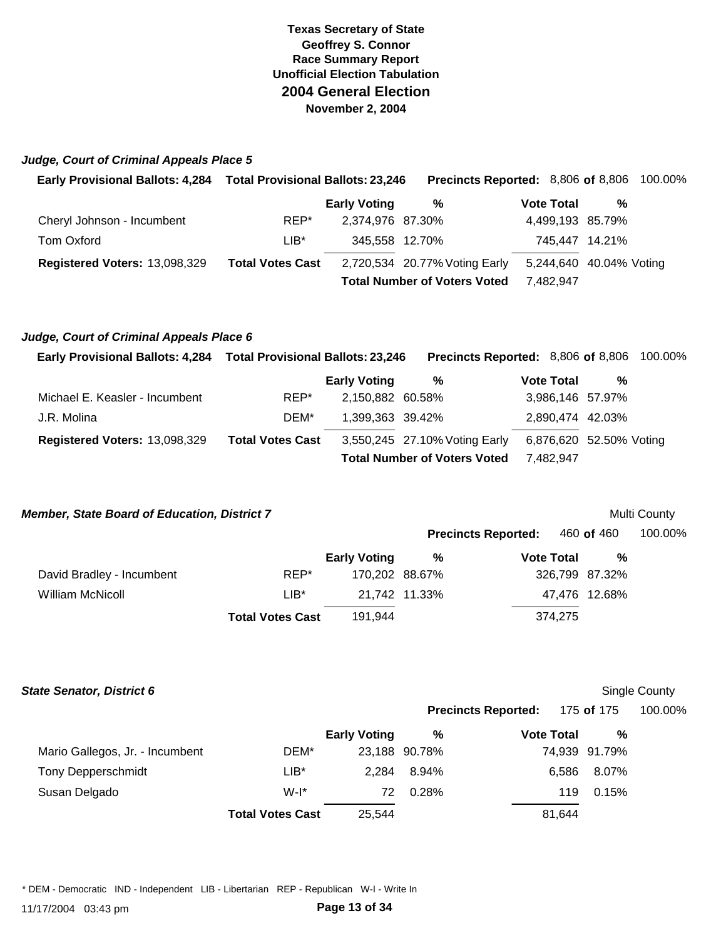#### *Judge, Court of Criminal Appeals Place 5*

| Early Provisional Ballots: 4,284 Total Provisional Ballots: 23,246 |                         |                     | <b>Precincts Reported: 8,806 of 8,806 100.00%</b> |                   |           |                         |  |
|--------------------------------------------------------------------|-------------------------|---------------------|---------------------------------------------------|-------------------|-----------|-------------------------|--|
|                                                                    |                         | <b>Early Voting</b> | %                                                 | <b>Vote Total</b> |           | %                       |  |
| Cheryl Johnson - Incumbent                                         | REP*                    | 2,374,976 87.30%    |                                                   |                   |           | 4,499,193 85.79%        |  |
| Tom Oxford                                                         | $LIB*$                  | 345,558 12.70%      |                                                   |                   |           | 745,447 14.21%          |  |
| Registered Voters: 13,098,329                                      | <b>Total Votes Cast</b> |                     | 2,720,534 20.77% Voting Early                     |                   |           | 5,244,640 40.04% Voting |  |
|                                                                    |                         |                     | <b>Total Number of Voters Voted</b>               |                   | 7.482.947 |                         |  |

#### *Judge, Court of Criminal Appeals Place 6*

| Early Provisional Ballots: 4,284 Total Provisional Ballots: 23,246 |                         |                     |                                     | <b>Precincts Reported: 8,806 of 8,806 100.00%</b> |   |  |
|--------------------------------------------------------------------|-------------------------|---------------------|-------------------------------------|---------------------------------------------------|---|--|
|                                                                    |                         | <b>Early Voting</b> | %                                   | <b>Vote Total</b>                                 | % |  |
| Michael E. Keasler - Incumbent                                     | REP*                    | 2.150.882 60.58%    |                                     | 3,986,146 57.97%                                  |   |  |
| J.R. Molina                                                        | DEM*                    | 1,399,363 39.42%    |                                     | 2,890,474 42.03%                                  |   |  |
| Registered Voters: 13,098,329                                      | <b>Total Votes Cast</b> |                     | 3,550,245 27.10% Voting Early       | 6,876,620 52.50% Voting                           |   |  |
|                                                                    |                         |                     | <b>Total Number of Voters Voted</b> | 7.482.947                                         |   |  |

#### *Member, State Board of Education, District 7* Multi County **Multi County Multi County**

|                           |                         |                     |                | <b>Precincts Reported:</b> | 460 <b>of</b> 460 | 100.00% |
|---------------------------|-------------------------|---------------------|----------------|----------------------------|-------------------|---------|
|                           |                         | <b>Early Voting</b> | %              | <b>Vote Total</b>          | %                 |         |
| David Bradley - Incumbent | REP*                    |                     | 170,202 88.67% |                            | 326,799 87.32%    |         |
| William McNicoll          | LIB*                    |                     | 21,742 11.33%  |                            | 47,476 12.68%     |         |
|                           | <b>Total Votes Cast</b> | 191.944             |                | 374,275                    |                   |         |

#### **State Senator, District 6** School County **State Senator, District 6** Single County

|                                 |                         |                     | <b>Precincts Reported:</b> |                   |        | 175 <b>of</b> 175 | 100.00% |
|---------------------------------|-------------------------|---------------------|----------------------------|-------------------|--------|-------------------|---------|
|                                 |                         | <b>Early Voting</b> | %                          | <b>Vote Total</b> |        | %                 |         |
| Mario Gallegos, Jr. - Incumbent | DEM*                    |                     | 23,188 90.78%              |                   |        | 74,939 91.79%     |         |
| <b>Tony Depperschmidt</b>       | $LIB*$                  | 2.284               | 8.94%                      |                   | 6.586  | 8.07%             |         |
| Susan Delgado                   | $W-I^*$                 | 72                  | 0.28%                      |                   | 119    | 0.15%             |         |
|                                 | <b>Total Votes Cast</b> | 25,544              |                            |                   | 81,644 |                   |         |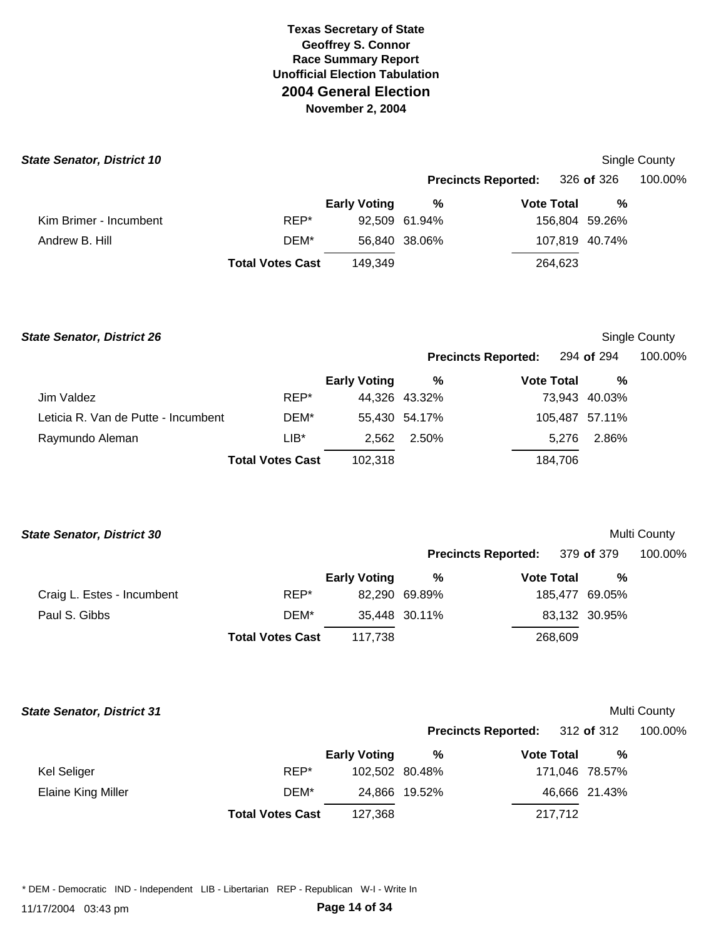| <b>State Senator, District 10</b> |                         |                     |               |                            |         |                | Single County |
|-----------------------------------|-------------------------|---------------------|---------------|----------------------------|---------|----------------|---------------|
|                                   |                         |                     |               | <b>Precincts Reported:</b> |         | 326 of 326     | 100.00%       |
|                                   |                         | <b>Early Voting</b> | %             | <b>Vote Total</b>          |         | %              |               |
| Kim Brimer - Incumbent            | REP*                    |                     | 92.509 61.94% |                            |         | 156,804 59.26% |               |
| Andrew B. Hill                    | DEM*                    |                     | 56,840 38.06% |                            |         | 107,819 40.74% |               |
|                                   | <b>Total Votes Cast</b> | 149.349             |               |                            | 264,623 |                |               |

**State Senator, District 26** Single County

| <b>Precincts Reported:</b> | 294 of 294 | 100.00% |
|----------------------------|------------|---------|
|                            |            |         |

|                                     |                         | <b>Early Voting</b> | %             | <b>Vote Total</b> | %             |
|-------------------------------------|-------------------------|---------------------|---------------|-------------------|---------------|
| Jim Valdez                          | REP*                    |                     | 44,326 43.32% |                   | 73,943 40.03% |
| Leticia R. Van de Putte - Incumbent | DEM*                    |                     | 55,430 54.17% | 105,487 57.11%    |               |
| Raymundo Aleman                     | $LIB*$                  |                     | 2.562 2.50%   | 5.276             | 2.86%         |
|                                     | <b>Total Votes Cast</b> | 102,318             |               | 184.706           |               |

| <b>State Senator, District 30</b> | <b>Multi County</b> |
|-----------------------------------|---------------------|
|-----------------------------------|---------------------|

|                            |                         |                     |               | <b>Precincts Reported:</b> 379 of 379 |                | 100.00% |
|----------------------------|-------------------------|---------------------|---------------|---------------------------------------|----------------|---------|
|                            |                         | <b>Early Voting</b> | ℅             | <b>Vote Total</b>                     | %              |         |
| Craig L. Estes - Incumbent | REP*                    |                     | 82,290 69.89% |                                       | 185,477 69.05% |         |
| Paul S. Gibbs              | DEM*                    |                     | 35,448 30.11% |                                       | 83,132 30.95%  |         |
|                            | <b>Total Votes Cast</b> | 117.738             |               | 268,609                               |                |         |

| <b>State Senator, District 31</b> |                         |                     |                            |                   |         |                | Multi County |
|-----------------------------------|-------------------------|---------------------|----------------------------|-------------------|---------|----------------|--------------|
|                                   |                         |                     | <b>Precincts Reported:</b> |                   |         | 312 of 312     | 100.00%      |
|                                   |                         | <b>Early Voting</b> | %                          | <b>Vote Total</b> |         | %              |              |
| Kel Seliger                       | REP*                    |                     | 102,502 80.48%             |                   |         | 171,046 78.57% |              |
| Elaine King Miller                | DEM*                    |                     | 24,866 19.52%              |                   |         | 46,666 21.43%  |              |
|                                   | <b>Total Votes Cast</b> | 127,368             |                            |                   | 217,712 |                |              |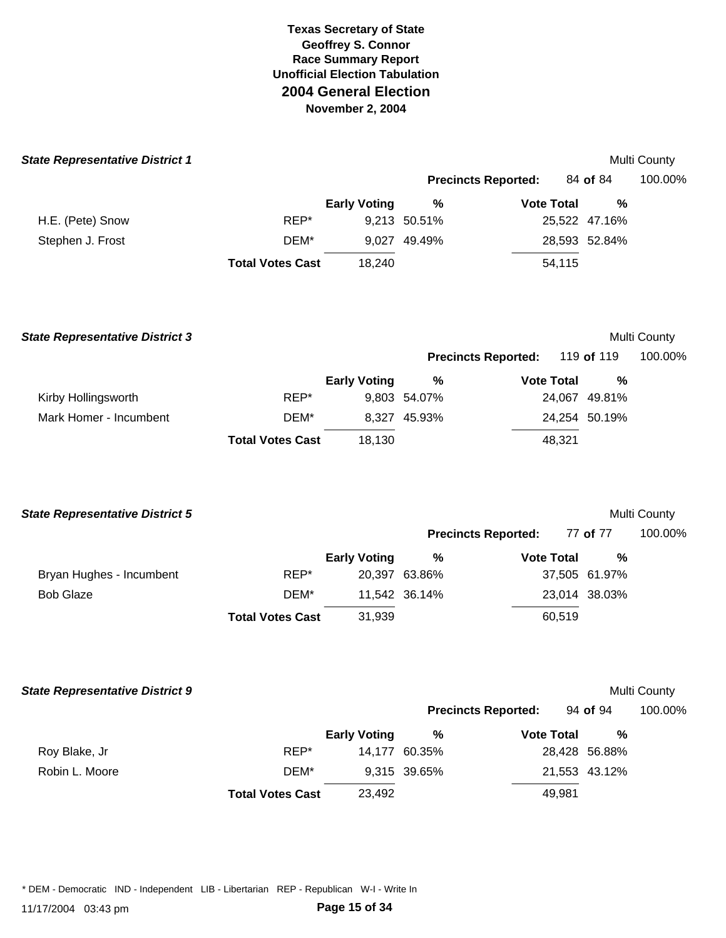| <b>State Representative District 1</b> |                         |                     |              |                            |               | Multi County |
|----------------------------------------|-------------------------|---------------------|--------------|----------------------------|---------------|--------------|
|                                        |                         |                     |              | <b>Precincts Reported:</b> | 84 of 84      | 100.00%      |
|                                        |                         | <b>Early Voting</b> | %            | <b>Vote Total</b>          | %             |              |
| H.E. (Pete) Snow                       | REP*                    |                     | 9,213 50.51% |                            | 25,522 47.16% |              |
| Stephen J. Frost                       | DEM*                    |                     | 9,027 49.49% |                            | 28,593 52.84% |              |
|                                        | <b>Total Votes Cast</b> | 18,240              |              | 54,115                     |               |              |
|                                        |                         |                     |              |                            |               |              |
|                                        |                         |                     |              |                            |               |              |
|                                        |                         |                     |              |                            |               |              |

| <b>State Representative District 3</b> |                         |                     |                            |                   |        |               | Multi County |
|----------------------------------------|-------------------------|---------------------|----------------------------|-------------------|--------|---------------|--------------|
|                                        |                         |                     | <b>Precincts Reported:</b> |                   |        | 119 of 119    | 100.00%      |
|                                        |                         | <b>Early Voting</b> | %                          | <b>Vote Total</b> |        | %             |              |
| Kirby Hollingsworth                    | REP*                    |                     | 9,803 54.07%               |                   |        | 24,067 49.81% |              |
| Mark Homer - Incumbent                 | DEM*                    |                     | 8.327 45.93%               |                   |        | 24,254 50.19% |              |
|                                        | <b>Total Votes Cast</b> | 18.130              |                            |                   | 48,321 |               |              |

| <b>State Representative District 5</b> |                         |                     |               |                            |               | <b>Multi County</b> |
|----------------------------------------|-------------------------|---------------------|---------------|----------------------------|---------------|---------------------|
|                                        |                         |                     |               | <b>Precincts Reported:</b> | 77 of 77      | 100.00%             |
|                                        |                         | <b>Early Voting</b> | %             | <b>Vote Total</b>          | %             |                     |
| Bryan Hughes - Incumbent               | REP*                    |                     | 20,397 63.86% |                            | 37,505 61.97% |                     |
| <b>Bob Glaze</b>                       | DEM*                    |                     | 11.542 36.14% |                            | 23,014 38.03% |                     |
|                                        | <b>Total Votes Cast</b> | 31,939              |               | 60,519                     |               |                     |

| <b>State Representative District 9</b> |                         |                     |               |                            |               | Multi County |
|----------------------------------------|-------------------------|---------------------|---------------|----------------------------|---------------|--------------|
|                                        |                         |                     |               | <b>Precincts Reported:</b> | 94 of 94      | 100.00%      |
|                                        |                         | <b>Early Voting</b> | %             | <b>Vote Total</b>          | %             |              |
| Roy Blake, Jr                          | REP*                    |                     | 14.177 60.35% |                            | 28,428 56.88% |              |
| Robin L. Moore                         | DEM*                    |                     | 9,315 39.65%  |                            | 21,553 43.12% |              |
|                                        | <b>Total Votes Cast</b> | 23,492              |               | 49.981                     |               |              |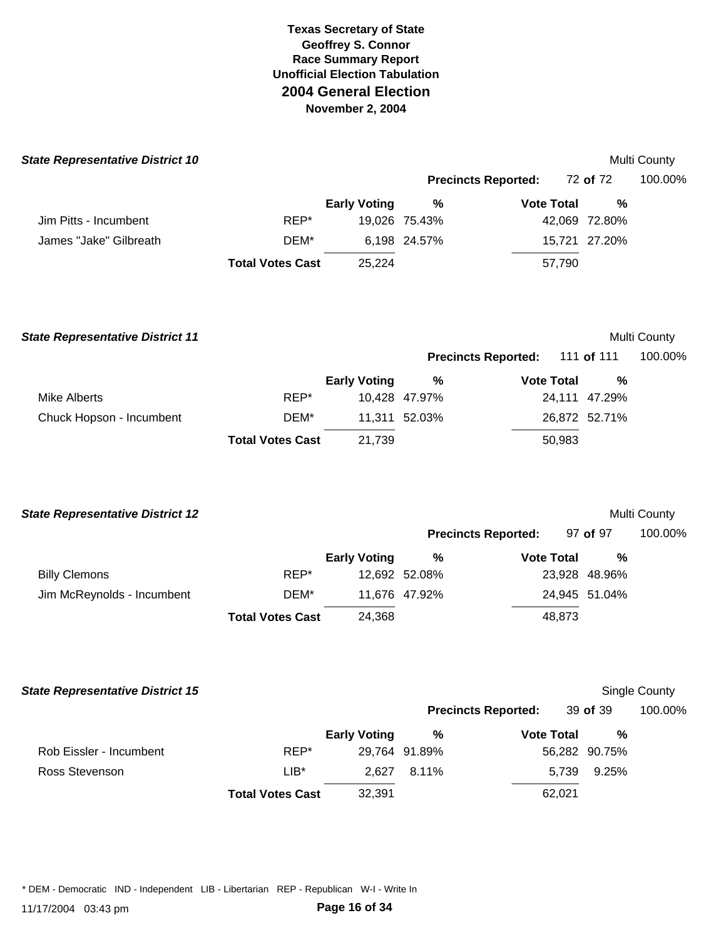| <b>State Representative District 10</b> |                         |                     |               |                            |               | Multi County |
|-----------------------------------------|-------------------------|---------------------|---------------|----------------------------|---------------|--------------|
|                                         |                         |                     |               | <b>Precincts Reported:</b> | 72 of 72      | 100.00%      |
|                                         |                         | <b>Early Voting</b> | %             | <b>Vote Total</b>          | %             |              |
| Jim Pitts - Incumbent                   | REP*                    |                     | 19,026 75.43% |                            | 42,069 72.80% |              |
| James "Jake" Gilbreath                  | DEM*                    |                     | 6,198 24.57%  |                            | 15,721 27.20% |              |
|                                         | <b>Total Votes Cast</b> | 25.224              |               | 57,790                     |               |              |
|                                         |                         |                     |               |                            |               |              |

| <b>State Representative District 11</b> |                         |                     |               |                            |        |                   | Multi County |
|-----------------------------------------|-------------------------|---------------------|---------------|----------------------------|--------|-------------------|--------------|
|                                         |                         |                     |               | <b>Precincts Reported:</b> |        | 111 <b>of</b> 111 | 100.00%      |
|                                         |                         | <b>Early Voting</b> | %             | <b>Vote Total</b>          |        | %                 |              |
| Mike Alberts                            | REP*                    |                     | 10.428 47.97% |                            |        | 24,111 47.29%     |              |
| Chuck Hopson - Incumbent                | DEM*                    |                     | 11.311 52.03% |                            |        | 26,872 52.71%     |              |
|                                         | <b>Total Votes Cast</b> | 21,739              |               |                            | 50,983 |                   |              |

| <b>State Representative District 12</b> |                         |                     |               |                            |               | Multi County |
|-----------------------------------------|-------------------------|---------------------|---------------|----------------------------|---------------|--------------|
|                                         |                         |                     |               | <b>Precincts Reported:</b> | 97 of 97      | 100.00%      |
|                                         |                         | <b>Early Voting</b> | %             | <b>Vote Total</b>          | %             |              |
| <b>Billy Clemons</b>                    | REP*                    |                     | 12,692 52.08% |                            | 23,928 48.96% |              |
| Jim McReynolds - Incumbent              | DEM*                    |                     | 11.676 47.92% |                            | 24,945 51.04% |              |
|                                         | <b>Total Votes Cast</b> | 24.368              |               | 48,873                     |               |              |

| <b>State Representative District 15</b> |                         |                     |               |                            |               | Single County |
|-----------------------------------------|-------------------------|---------------------|---------------|----------------------------|---------------|---------------|
|                                         |                         |                     |               | <b>Precincts Reported:</b> | 39 of 39      | 100.00%       |
|                                         |                         | <b>Early Voting</b> | %             | <b>Vote Total</b>          | %             |               |
| Rob Eissler - Incumbent                 | REP*                    |                     | 29,764 91.89% |                            | 56,282 90.75% |               |
| Ross Stevenson                          | $LIB*$                  | 2.627               | 8.11%         | 5,739                      | 9.25%         |               |
|                                         | <b>Total Votes Cast</b> | 32,391              |               | 62,021                     |               |               |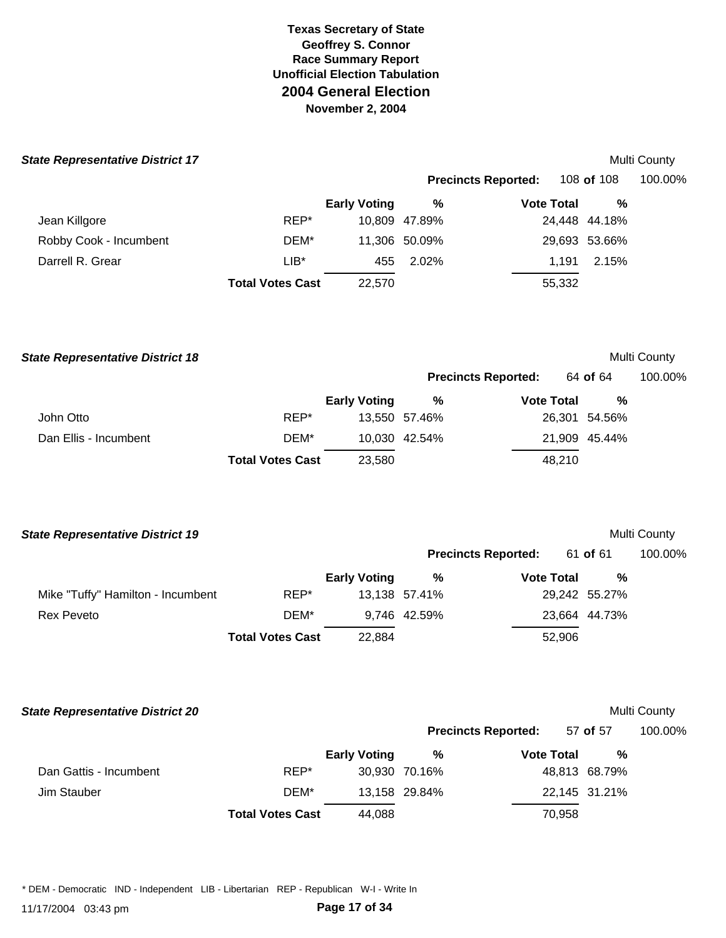# **State Representative District 17** Multi County

| <i></i>                |                         |                     |                                          |                   |               | <b>IVIUIU VUUILY</b> |
|------------------------|-------------------------|---------------------|------------------------------------------|-------------------|---------------|----------------------|
|                        |                         |                     | 108 of 108<br><b>Precincts Reported:</b> |                   |               | 100.00%              |
|                        |                         | <b>Early Voting</b> | %                                        | <b>Vote Total</b> | %             |                      |
| Jean Killgore          | REP*                    |                     | 10,809 47.89%                            |                   | 24,448 44.18% |                      |
| Robby Cook - Incumbent | DEM*                    |                     | 11,306 50.09%                            |                   | 29,693 53.66% |                      |
| Darrell R. Grear       | $LIB^*$                 | 455                 | 2.02%                                    | 1.191             | 2.15%         |                      |
|                        | <b>Total Votes Cast</b> | 22.570              |                                          | 55,332            |               |                      |
|                        |                         |                     |                                          |                   |               |                      |

# **Multi County Precincts Reported:** 64 **of** 64 100.00%

|                       |                         | <b>Early Voting</b> | %             | <b>Vote Total</b> | %             |
|-----------------------|-------------------------|---------------------|---------------|-------------------|---------------|
| John Otto             | REP*                    |                     | 13,550 57.46% |                   | 26,301 54.56% |
| Dan Ellis - Incumbent | DEM*                    |                     | 10,030 42.54% |                   | 21,909 45.44% |
|                       | <b>Total Votes Cast</b> | 23,580              |               | 48.210            |               |

| <b>State Representative District 19</b> | <b>Multi County</b> |
|-----------------------------------------|---------------------|
|-----------------------------------------|---------------------|

|                                   |                         |                     | <b>Precincts Reported:</b> |                   | 61 <b>of</b> 61 | 100.00% |  |
|-----------------------------------|-------------------------|---------------------|----------------------------|-------------------|-----------------|---------|--|
|                                   |                         | <b>Early Voting</b> | %                          | <b>Vote Total</b> | %               |         |  |
| Mike "Tuffy" Hamilton - Incumbent | REP*                    |                     | 13,138 57.41%              |                   | 29,242 55.27%   |         |  |
| Rex Peveto                        | DEM*                    |                     | 9.746 42.59%               |                   | 23,664 44.73%   |         |  |
|                                   | <b>Total Votes Cast</b> | 22,884              |                            | 52,906            |                 |         |  |

| <b>State Representative District 20</b> | <b>Multi County</b> |
|-----------------------------------------|---------------------|
|-----------------------------------------|---------------------|

|                        |                         |                     |               | <b>Precincts Reported:</b> | 57 of 57      | 100.00% |
|------------------------|-------------------------|---------------------|---------------|----------------------------|---------------|---------|
|                        |                         | <b>Early Voting</b> | %             | <b>Vote Total</b>          | %             |         |
| Dan Gattis - Incumbent | REP*                    |                     | 30.930 70.16% |                            | 48,813 68.79% |         |
| Jim Stauber            | DEM*                    |                     | 13,158 29.84% |                            | 22,145 31.21% |         |
|                        | <b>Total Votes Cast</b> | 44.088              |               | 70.958                     |               |         |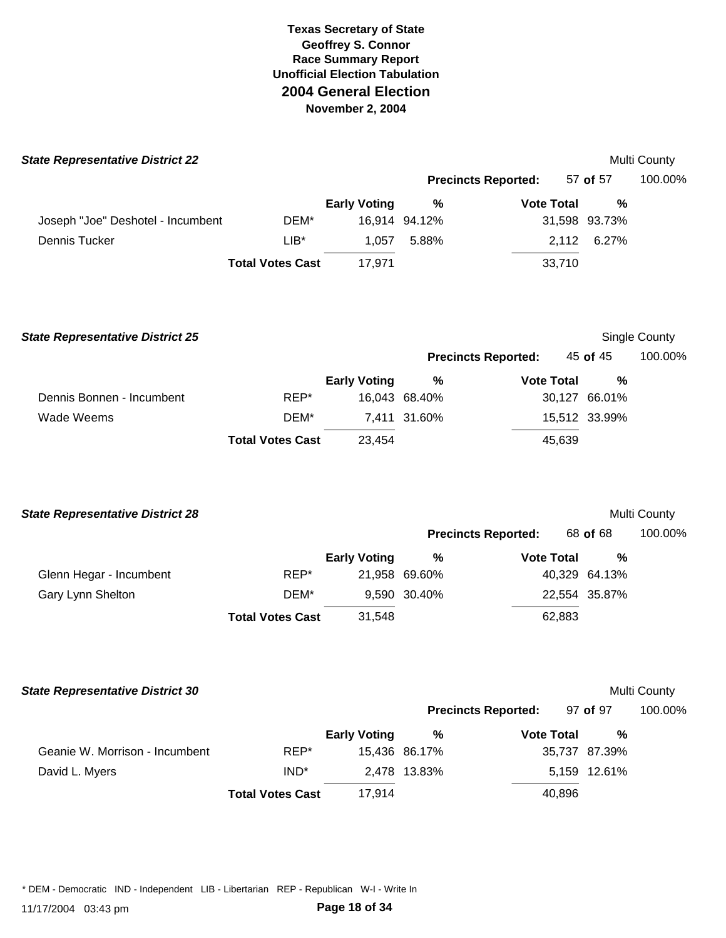| <b>State Representative District 22</b> |                         |                     |               |                            |               | Multi County  |
|-----------------------------------------|-------------------------|---------------------|---------------|----------------------------|---------------|---------------|
|                                         |                         |                     |               | <b>Precincts Reported:</b> | 57 of 57      | 100.00%       |
|                                         |                         | <b>Early Voting</b> | $\%$          | <b>Vote Total</b>          | %             |               |
| Joseph "Joe" Deshotel - Incumbent       | DEM*                    |                     | 16,914 94.12% |                            | 31,598 93.73% |               |
| Dennis Tucker                           | LIB*                    | 1,057               | 5.88%         | 2,112                      | 6.27%         |               |
|                                         | <b>Total Votes Cast</b> | 17,971              |               | 33,710                     |               |               |
| <b>State Representative District 25</b> |                         |                     |               |                            |               | Single County |
|                                         |                         |                     |               | <b>Precincts Reported:</b> | 45 of 45      | 100.00%       |
|                                         |                         | <b>Early Voting</b> | %             | <b>Vote Total</b>          | %             |               |
| Dennis Bonnen - Incumbent               | REP*                    |                     | 16,043 68.40% |                            | 30,127 66.01% |               |
| <b>Wade Weems</b>                       | DEM*                    |                     | 7,411 31.60%  |                            | 15,512 33.99% |               |
|                                         | <b>Total Votes Cast</b> | 23,454              |               | 45,639                     |               |               |
| <b>State Representative District 28</b> |                         |                     |               |                            |               | Multi County  |
|                                         |                         |                     |               | <b>Precincts Reported:</b> | 68 of 68      | 100.00%       |
|                                         |                         | <b>Early Voting</b> | $\%$          | <b>Vote Total</b>          | %             |               |
| Glenn Hegar - Incumbent                 | REP*                    |                     | 21,958 69.60% |                            | 40,329 64.13% |               |
| Gary Lynn Shelton                       | DEM*                    |                     | 9,590 30.40%  |                            | 22,554 35.87% |               |
|                                         | <b>Total Votes Cast</b> | 31,548              |               | 62,883                     |               |               |
| <b>State Representative District 30</b> |                         |                     |               |                            |               | Multi County  |
|                                         |                         |                     |               | <b>Precincts Reported:</b> | 97 of 97      | 100.00%       |
|                                         |                         | <b>Early Voting</b> | %             | <b>Vote Total</b>          | %             |               |
| Geanie W. Morrison - Incumbent          | REP*                    |                     | 15,436 86.17% |                            | 35,737 87.39% |               |
| David L. Myers                          | IND <sup>*</sup>        |                     | 2,478 13.83%  |                            | 5,159 12.61%  |               |
|                                         | <b>Total Votes Cast</b> | 17,914              |               | 40,896                     |               |               |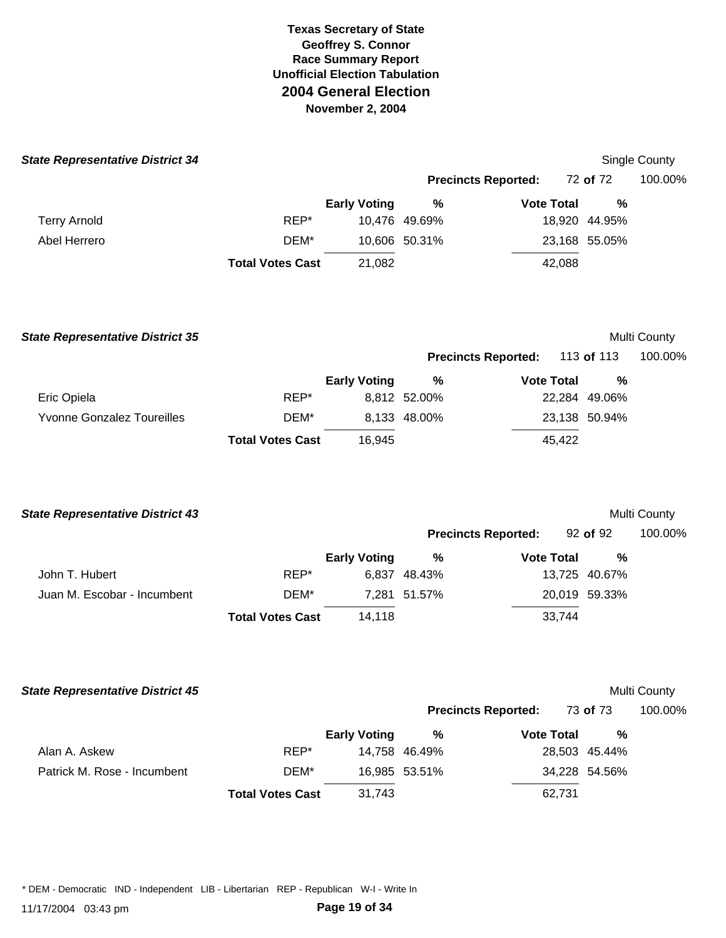| <b>State Representative District 34</b> |                         |                     |               |                            |               | Single County |
|-----------------------------------------|-------------------------|---------------------|---------------|----------------------------|---------------|---------------|
|                                         |                         |                     |               | <b>Precincts Reported:</b> | 72 of 72      | 100.00%       |
|                                         |                         | <b>Early Voting</b> | %             | <b>Vote Total</b>          | %             |               |
| <b>Terry Arnold</b>                     | REP*                    |                     | 10,476 49.69% |                            | 18,920 44.95% |               |
| Abel Herrero                            | DEM*                    |                     | 10,606 50.31% |                            | 23,168 55.05% |               |
|                                         | <b>Total Votes Cast</b> | 21,082              |               | 42,088                     |               |               |
|                                         |                         |                     |               |                            |               |               |

| <b>State Representative District 35</b> |                         |                     |              |                            |        |               | Multi County |
|-----------------------------------------|-------------------------|---------------------|--------------|----------------------------|--------|---------------|--------------|
|                                         |                         |                     |              | <b>Precincts Reported:</b> |        | 113 of 113    | 100.00%      |
|                                         |                         | <b>Early Voting</b> | %            | <b>Vote Total</b>          |        | %             |              |
| Eric Opiela                             | REP*                    |                     | 8,812 52.00% |                            |        | 22,284 49.06% |              |
| <b>Yvonne Gonzalez Toureilles</b>       | DEM*                    |                     | 8,133 48.00% |                            |        | 23,138 50.94% |              |
|                                         | <b>Total Votes Cast</b> | 16.945              |              |                            | 45,422 |               |              |

| <b>State Representative District 43</b> |                         |                     |              |                            |               | Multi County |
|-----------------------------------------|-------------------------|---------------------|--------------|----------------------------|---------------|--------------|
|                                         |                         |                     |              | <b>Precincts Reported:</b> | 92 of 92      | 100.00%      |
|                                         |                         | <b>Early Voting</b> | %            | <b>Vote Total</b>          | %             |              |
| John T. Hubert                          | REP*                    |                     | 6.837 48.43% |                            | 13,725 40.67% |              |
| Juan M. Escobar - Incumbent             | DEM*                    |                     | 7.281 51.57% |                            | 20,019 59.33% |              |
|                                         | <b>Total Votes Cast</b> | 14.118              |              | 33,744                     |               |              |

| <b>State Representative District 45</b> |                         |                     |               |                            |                 | Multi County |
|-----------------------------------------|-------------------------|---------------------|---------------|----------------------------|-----------------|--------------|
|                                         |                         |                     |               | <b>Precincts Reported:</b> | 73 <b>of</b> 73 | 100.00%      |
|                                         |                         | <b>Early Voting</b> | %             | <b>Vote Total</b>          | %               |              |
| Alan A. Askew                           | REP*                    |                     | 14,758 46.49% |                            | 28,503 45.44%   |              |
| Patrick M. Rose - Incumbent             | DEM*                    |                     | 16,985 53.51% |                            | 34,228 54.56%   |              |
|                                         | <b>Total Votes Cast</b> | 31,743              |               | 62,731                     |                 |              |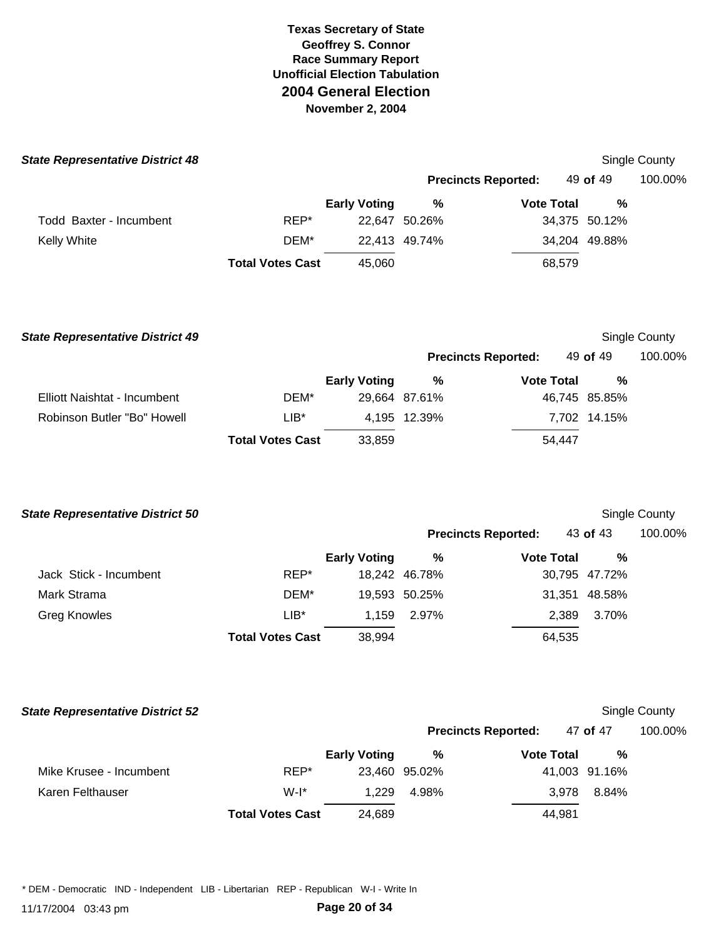|      |                     |                         |                                |                            |                             | Single County                                     |
|------|---------------------|-------------------------|--------------------------------|----------------------------|-----------------------------|---------------------------------------------------|
|      |                     |                         |                                |                            |                             | 100.00%                                           |
|      | <b>Early Voting</b> | %                       |                                |                            | %                           |                                                   |
| REP* |                     |                         |                                |                            |                             |                                                   |
| DEM* |                     |                         |                                |                            |                             |                                                   |
|      | 45,060              |                         |                                |                            |                             |                                                   |
|      |                     | <b>Total Votes Cast</b> | 22,647 50.26%<br>22,413 49.74% | <b>Precincts Reported:</b> | <b>Vote Total</b><br>68,579 | 49 <b>of</b> 49<br>34,375 50.12%<br>34,204 49.88% |

| <b>State Representative District 49</b> |                         |                     |               |                            |               | Single County |
|-----------------------------------------|-------------------------|---------------------|---------------|----------------------------|---------------|---------------|
|                                         |                         |                     |               | <b>Precincts Reported:</b> | 49 of 49      | 100.00%       |
|                                         |                         | <b>Early Voting</b> | %             | <b>Vote Total</b>          | %             |               |
| Elliott Naishtat - Incumbent            | DEM*                    |                     | 29,664 87.61% |                            | 46,745 85.85% |               |
| Robinson Butler "Bo" Howell             | $LIB*$                  |                     | 4,195 12.39%  |                            | 7,702 14.15%  |               |
|                                         | <b>Total Votes Cast</b> | 33,859              |               | 54,447                     |               |               |

|      |                     |                         |                                |                            | Single County                                                               |
|------|---------------------|-------------------------|--------------------------------|----------------------------|-----------------------------------------------------------------------------|
|      |                     |                         |                                |                            | 100.00%                                                                     |
|      | <b>Early Voting</b> | %                       |                                | %                          |                                                                             |
| REP* |                     |                         |                                |                            |                                                                             |
| DEM* |                     |                         |                                | 48.58%                     |                                                                             |
| LIB* | 1.159               | 2.97%                   |                                | 3.70%                      |                                                                             |
|      | 38,994              |                         |                                |                            |                                                                             |
|      |                     | <b>Total Votes Cast</b> | 18.242 46.78%<br>19,593 50.25% | <b>Precincts Reported:</b> | 43 of 43<br><b>Vote Total</b><br>30,795 47.72%<br>31,351<br>2,389<br>64,535 |

| <b>State Representative District 52</b> |                         |                     |               |                            |               | Single County |
|-----------------------------------------|-------------------------|---------------------|---------------|----------------------------|---------------|---------------|
|                                         |                         |                     |               | <b>Precincts Reported:</b> | 47 of 47      | 100.00%       |
|                                         |                         | <b>Early Voting</b> | %             | <b>Vote Total</b>          | %             |               |
| Mike Krusee - Incumbent                 | REP*                    |                     | 23,460 95.02% |                            | 41,003 91.16% |               |
| Karen Felthauser                        | $W-I^*$                 | 1.229               | 4.98%         | 3.978                      | 8.84%         |               |
|                                         | <b>Total Votes Cast</b> | 24,689              |               | 44.981                     |               |               |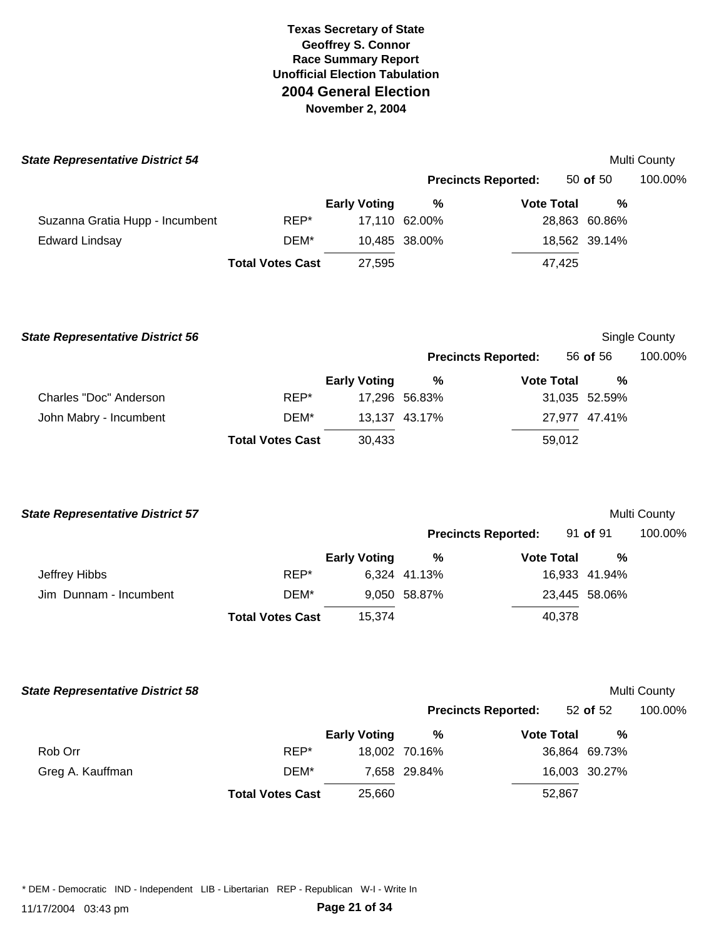| <b>State Representative District 54</b> |                         |                     |               |                            |               | Multi County |
|-----------------------------------------|-------------------------|---------------------|---------------|----------------------------|---------------|--------------|
|                                         |                         |                     |               | <b>Precincts Reported:</b> | 50 of $50$    | 100.00%      |
|                                         |                         | <b>Early Voting</b> | %             | <b>Vote Total</b>          | %             |              |
| Suzanna Gratia Hupp - Incumbent         | REP*                    |                     | 17,110 62.00% |                            | 28,863 60.86% |              |
| <b>Edward Lindsay</b>                   | DEM*                    |                     | 10,485 38.00% |                            | 18,562 39.14% |              |
|                                         | <b>Total Votes Cast</b> | 27,595              |               | 47,425                     |               |              |
|                                         |                         |                     |               |                            |               |              |
|                                         |                         |                     |               |                            |               |              |

| <b>State Representative District 56</b> |                         |                     |               |                            |          |               | Single County |
|-----------------------------------------|-------------------------|---------------------|---------------|----------------------------|----------|---------------|---------------|
|                                         |                         |                     |               | <b>Precincts Reported:</b> | 56 of 56 |               | 100.00%       |
|                                         |                         | <b>Early Voting</b> | %             | <b>Vote Total</b>          |          | %             |               |
| Charles "Doc" Anderson                  | REP*                    |                     | 17.296 56.83% |                            |          | 31,035 52.59% |               |
| John Mabry - Incumbent                  | DEM*                    |                     | 13.137 43.17% |                            |          | 27,977 47.41% |               |
|                                         | <b>Total Votes Cast</b> | 30,433              |               | 59,012                     |          |               |               |

| <b>State Representative District 57</b> |                         |                     |              |                            |               | <b>Multi County</b> |
|-----------------------------------------|-------------------------|---------------------|--------------|----------------------------|---------------|---------------------|
|                                         |                         |                     |              | <b>Precincts Reported:</b> | 91 of 91      | 100.00%             |
|                                         |                         | <b>Early Voting</b> | %            | <b>Vote Total</b>          | %             |                     |
| Jeffrey Hibbs                           | REP*                    |                     | 6,324 41.13% |                            | 16,933 41.94% |                     |
| Jim Dunnam - Incumbent                  | DEM*                    |                     | 9,050 58.87% |                            | 23,445 58.06% |                     |
|                                         | <b>Total Votes Cast</b> | 15.374              |              | 40,378                     |               |                     |

| <b>State Representative District 58</b> |                         |                     |               |                            |               | Multi County |
|-----------------------------------------|-------------------------|---------------------|---------------|----------------------------|---------------|--------------|
|                                         |                         |                     |               | <b>Precincts Reported:</b> | 52 of $52$    | 100.00%      |
|                                         |                         | <b>Early Voting</b> | %             | <b>Vote Total</b>          | %             |              |
| Rob Orr                                 | REP*                    |                     | 18.002 70.16% |                            | 36,864 69.73% |              |
| Greg A. Kauffman                        | DEM*                    |                     | 7.658 29.84%  |                            | 16,003 30.27% |              |
|                                         | <b>Total Votes Cast</b> | 25,660              |               | 52,867                     |               |              |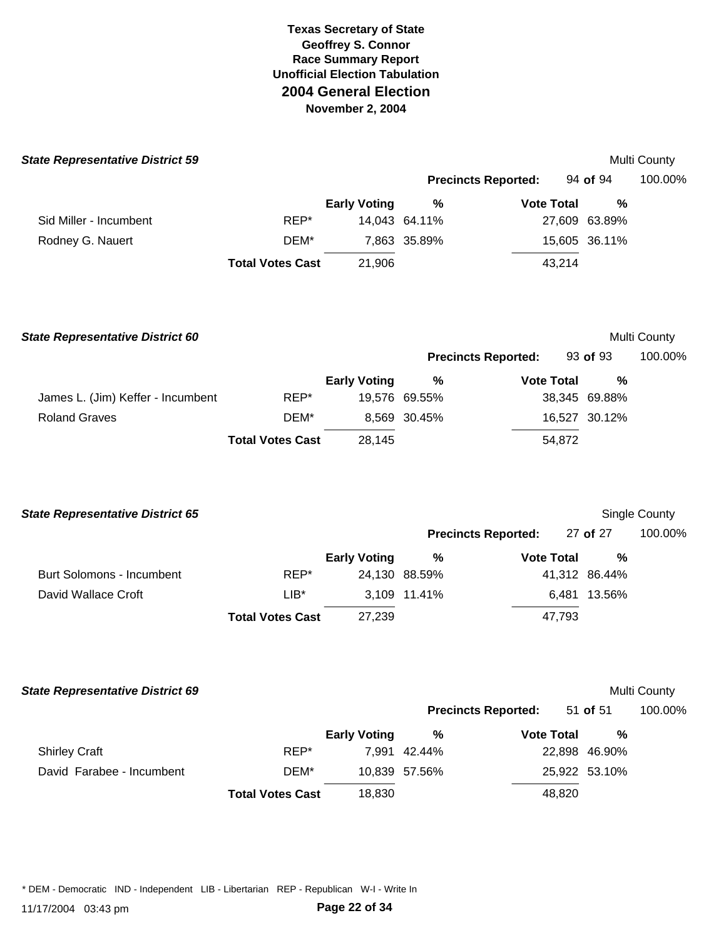| <b>State Representative District 59</b> |                         |                     |               |                            |        |               | <b>Multi County</b> |
|-----------------------------------------|-------------------------|---------------------|---------------|----------------------------|--------|---------------|---------------------|
|                                         |                         |                     |               | <b>Precincts Reported:</b> |        | 94 of 94      | 100.00%             |
|                                         |                         | <b>Early Voting</b> | %             | <b>Vote Total</b>          |        | %             |                     |
| Sid Miller - Incumbent                  | REP*                    |                     | 14,043 64.11% |                            |        | 27,609 63.89% |                     |
| Rodney G. Nauert                        | DEM*                    |                     | 7,863 35.89%  |                            |        | 15,605 36.11% |                     |
|                                         | <b>Total Votes Cast</b> | 21,906              |               |                            | 43,214 |               |                     |
| <b>State Representative District 60</b> |                         |                     |               |                            |        |               | <b>Multi County</b> |
|                                         |                         |                     |               | <b>Precincts Reported:</b> |        | 93 of 93      | 100.00%             |

|                                   |                         | <b>Early Voting</b> | %             | <b>Vote Total</b> | %             |
|-----------------------------------|-------------------------|---------------------|---------------|-------------------|---------------|
| James L. (Jim) Keffer - Incumbent | REP*                    |                     | 19.576 69.55% |                   | 38,345 69.88% |
| <b>Roland Graves</b>              | DEM*                    |                     | 8.569 30.45%  |                   | 16,527 30.12% |
|                                   | <b>Total Votes Cast</b> | 28.145              |               | 54.872            |               |

| <b>State Representative District 65</b> |                         |                     |               |                            |               | Single County |
|-----------------------------------------|-------------------------|---------------------|---------------|----------------------------|---------------|---------------|
|                                         |                         |                     |               | <b>Precincts Reported:</b> | 27 of 27      | 100.00%       |
|                                         |                         | <b>Early Voting</b> | %             | <b>Vote Total</b>          | %             |               |
| Burt Solomons - Incumbent               | REP*                    |                     | 24,130 88.59% |                            | 41,312 86.44% |               |
| David Wallace Croft                     | $LIB*$                  |                     | 3.109 11.41%  |                            | 6.481 13.56%  |               |
|                                         | <b>Total Votes Cast</b> | 27,239              |               | 47,793                     |               |               |

| <b>State Representative District 69</b> |                         |                     |               |                            |               | <b>Multi County</b> |
|-----------------------------------------|-------------------------|---------------------|---------------|----------------------------|---------------|---------------------|
|                                         |                         |                     |               | <b>Precincts Reported:</b> | 51 of 51      | 100.00              |
|                                         |                         | <b>Early Voting</b> | %             | <b>Vote Total</b>          | %             |                     |
| <b>Shirley Craft</b>                    | REP*                    |                     | 7.991 42.44%  |                            | 22,898 46.90% |                     |
| David Farabee - Incumbent               | DEM*                    |                     | 10.839 57.56% |                            | 25,922 53.10% |                     |
|                                         | <b>Total Votes Cast</b> | 18,830              |               | 48.820                     |               |                     |

**Precincts Reported:** 51 **of** 51 100.00%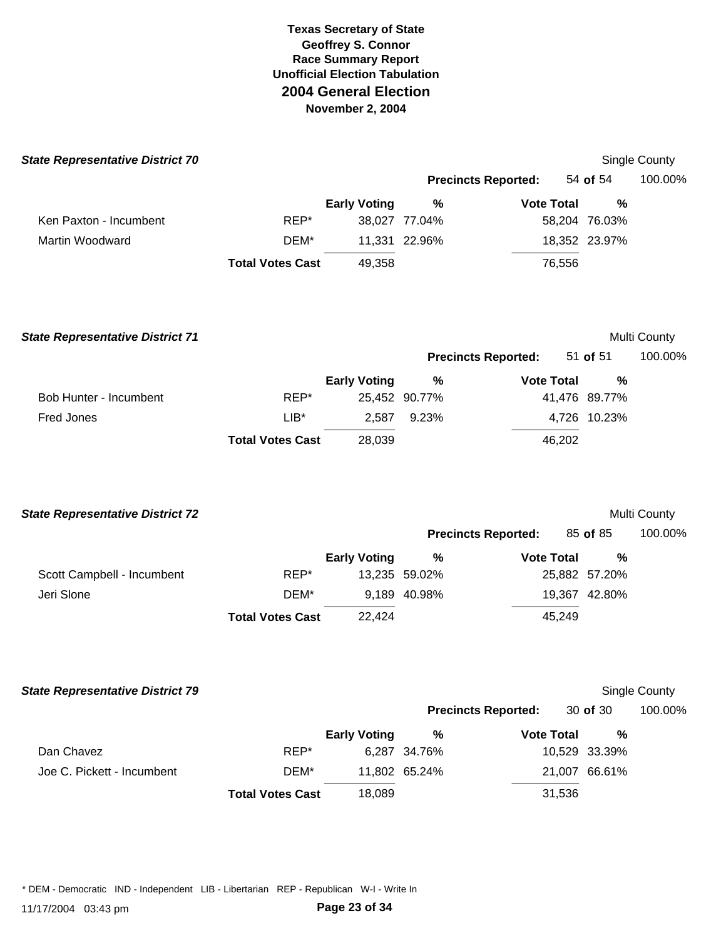| <b>State Representative District 70</b> |                         |                     |               |                            |               | Single County |
|-----------------------------------------|-------------------------|---------------------|---------------|----------------------------|---------------|---------------|
|                                         |                         |                     |               | <b>Precincts Reported:</b> | 54 of 54      | 100.00%       |
|                                         |                         | <b>Early Voting</b> | %             | <b>Vote Total</b>          | %             |               |
| Ken Paxton - Incumbent                  | REP*                    |                     | 38,027 77.04% |                            | 58,204 76.03% |               |
| Martin Woodward                         | DEM*                    |                     | 11,331 22.96% |                            | 18,352 23.97% |               |
|                                         | <b>Total Votes Cast</b> | 49,358              |               | 76,556                     |               |               |
|                                         |                         |                     |               |                            |               |               |
| <b>State Representative District 71</b> |                         |                     |               |                            |               | Multi County  |

|                        |                         |                     |               | <b>Precincts Reported:</b> | 51 of 51      | 100.00% |  |
|------------------------|-------------------------|---------------------|---------------|----------------------------|---------------|---------|--|
|                        |                         | <b>Early Voting</b> | %             | <b>Vote Total</b>          | %             |         |  |
| Bob Hunter - Incumbent | REP*                    |                     | 25,452 90.77% |                            | 41,476 89.77% |         |  |
| Fred Jones             | $LIB*$                  | 2.587               | 9.23%         |                            | 4,726 10.23%  |         |  |
|                        | <b>Total Votes Cast</b> | 28,039              |               | 46,202                     |               |         |  |

| <b>State Representative District 72</b> |                         |                     |               |                            |               | Multi County |
|-----------------------------------------|-------------------------|---------------------|---------------|----------------------------|---------------|--------------|
|                                         |                         |                     |               | <b>Precincts Reported:</b> | 85 of 85      | 100.00%      |
|                                         |                         | <b>Early Voting</b> | %             | <b>Vote Total</b>          | %             |              |
| Scott Campbell - Incumbent              | REP*                    |                     | 13,235 59.02% |                            | 25,882 57.20% |              |
| Jeri Slone                              | DEM*                    |                     | 9.189 40.98%  |                            | 19,367 42.80% |              |
|                                         | <b>Total Votes Cast</b> | 22.424              |               | 45,249                     |               |              |

| <b>State Representative District 79</b> |                         |                     |               |                            |               | Single County |
|-----------------------------------------|-------------------------|---------------------|---------------|----------------------------|---------------|---------------|
|                                         |                         |                     |               | <b>Precincts Reported:</b> | 30 of 30      | 100.00%       |
|                                         |                         | <b>Early Voting</b> | %             | <b>Vote Total</b>          | %             |               |
| Dan Chavez                              | REP*                    |                     | 6,287 34.76%  |                            | 10,529 33.39% |               |
| Joe C. Pickett - Incumbent              | DEM*                    |                     | 11.802 65.24% |                            | 21,007 66.61% |               |
|                                         | <b>Total Votes Cast</b> | 18,089              |               | 31,536                     |               |               |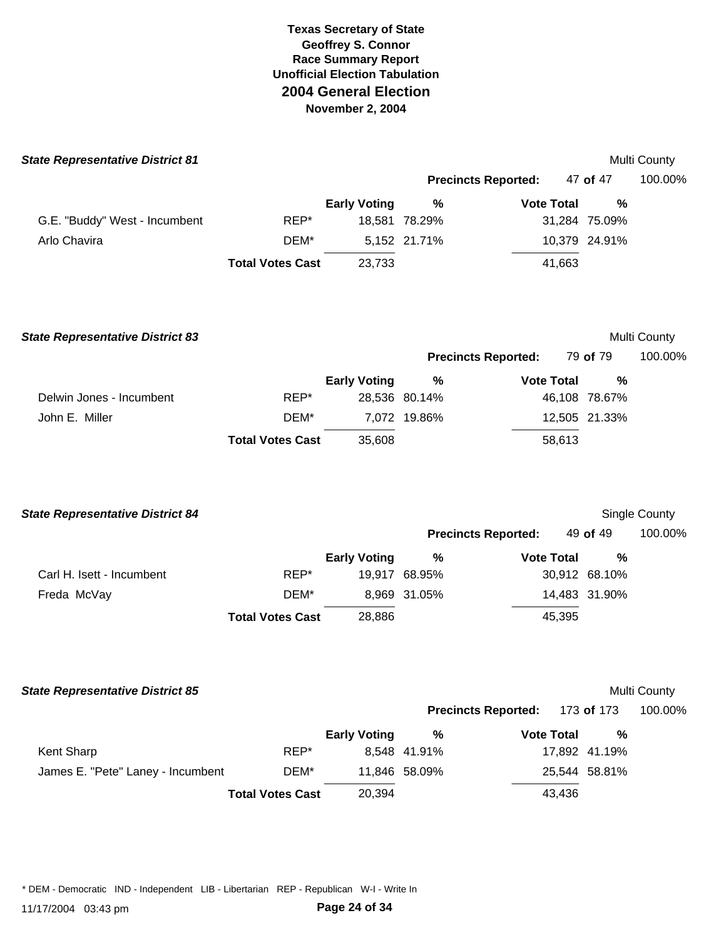| <b>State Representative District 81</b> |                         |                     |               |                            |               | <b>Multi County</b> |
|-----------------------------------------|-------------------------|---------------------|---------------|----------------------------|---------------|---------------------|
|                                         |                         |                     |               | <b>Precincts Reported:</b> | 47 of 47      | 100.00%             |
|                                         |                         | <b>Early Voting</b> | %             | <b>Vote Total</b>          | %             |                     |
| G.E. "Buddy" West - Incumbent           | REP*                    |                     | 18,581 78.29% |                            | 31,284 75.09% |                     |
| Arlo Chavira                            | DEM*                    |                     | 5,152 21.71%  |                            | 10,379 24.91% |                     |
|                                         | <b>Total Votes Cast</b> | 23,733              |               | 41,663                     |               |                     |
|                                         |                         |                     |               |                            |               |                     |
|                                         |                         |                     |               |                            |               |                     |

| <b>State Representative District 83</b> |                         |                     |                            |                   |               | Multi County |
|-----------------------------------------|-------------------------|---------------------|----------------------------|-------------------|---------------|--------------|
|                                         |                         |                     | <b>Precincts Reported:</b> |                   | 79 of 79      | 100.00%      |
|                                         |                         | <b>Early Voting</b> | %                          | <b>Vote Total</b> | %             |              |
| Delwin Jones - Incumbent                | REP*                    |                     | 28,536 80.14%              |                   | 46,108 78.67% |              |
| John E. Miller                          | DEM*                    |                     | 7.072 19.86%               |                   | 12,505 21.33% |              |
|                                         | <b>Total Votes Cast</b> | 35,608              |                            | 58,613            |               |              |

| <b>State Representative District 84</b> |                         |                     |              |                            |               | <b>Single County</b> |
|-----------------------------------------|-------------------------|---------------------|--------------|----------------------------|---------------|----------------------|
|                                         |                         |                     |              | <b>Precincts Reported:</b> | 49 of 49      | 100.00%              |
|                                         |                         | <b>Early Voting</b> | %            | <b>Vote Total</b>          | %             |                      |
| Carl H. Isett - Incumbent               | REP*                    | 19.917              | 68.95%       |                            | 30,912 68.10% |                      |
| Freda McVay                             | DEM*                    |                     | 8,969 31.05% |                            | 14,483 31.90% |                      |
|                                         | <b>Total Votes Cast</b> | 28,886              |              | 45,395                     |               |                      |

#### **State Representative District 85** Multi County

|                                   |                         |                     |               | <b>Precincts Reported:</b> 173 of 173 |               | 100.00% |
|-----------------------------------|-------------------------|---------------------|---------------|---------------------------------------|---------------|---------|
|                                   |                         | <b>Early Voting</b> | ℅             | <b>Vote Total</b>                     | %             |         |
| Kent Sharp                        | REP*                    |                     | 8.548 41.91%  |                                       | 17,892 41.19% |         |
| James E. "Pete" Laney - Incumbent | DEM*                    |                     | 11,846 58.09% |                                       | 25,544 58.81% |         |
|                                   | <b>Total Votes Cast</b> | 20,394              |               | 43,436                                |               |         |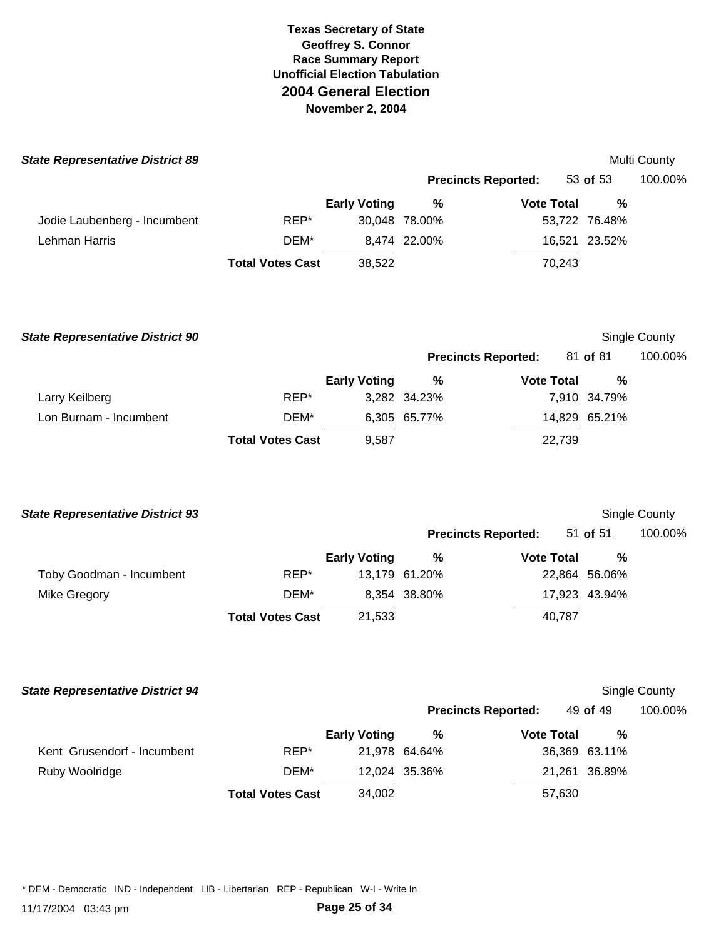| <b>State Representative District 89</b> |                         |                     |               |                            |               | Multi County         |
|-----------------------------------------|-------------------------|---------------------|---------------|----------------------------|---------------|----------------------|
|                                         |                         |                     |               | <b>Precincts Reported:</b> | 53 of 53      | 100.00%              |
|                                         |                         | <b>Early Voting</b> | $\%$          | <b>Vote Total</b>          | $\frac{9}{6}$ |                      |
| Jodie Laubenberg - Incumbent            | REP*                    |                     | 30,048 78.00% |                            | 53,722 76.48% |                      |
| Lehman Harris                           | DEM*                    |                     | 8,474 22.00%  |                            | 16,521 23.52% |                      |
|                                         | <b>Total Votes Cast</b> | 38,522              |               | 70,243                     |               |                      |
| <b>State Representative District 90</b> |                         |                     |               |                            |               | Single County        |
|                                         |                         |                     |               | <b>Precincts Reported:</b> | 81 of 81      | 100.00%              |
|                                         |                         | <b>Early Voting</b> | %             | <b>Vote Total</b>          | $\%$          |                      |
| Larry Keilberg                          | REP*                    |                     | 3,282 34.23%  |                            | 7,910 34.79%  |                      |
| Lon Burnam - Incumbent                  | DEM*                    |                     | 6,305 65.77%  |                            | 14,829 65.21% |                      |
|                                         | <b>Total Votes Cast</b> | 9,587               |               | 22,739                     |               |                      |
| <b>State Representative District 93</b> |                         |                     |               |                            |               | <b>Single County</b> |
|                                         |                         |                     |               | <b>Precincts Reported:</b> | 51 of 51      | 100.00%              |
|                                         |                         | <b>Early Voting</b> | $\%$          | <b>Vote Total</b>          | %             |                      |
| Toby Goodman - Incumbent                | REP*                    |                     | 13,179 61.20% |                            | 22,864 56.06% |                      |
| Mike Gregory                            | DEM*                    |                     | 8,354 38.80%  |                            | 17,923 43.94% |                      |
|                                         | <b>Total Votes Cast</b> | 21,533              |               | 40,787                     |               |                      |
| <b>State Representative District 94</b> |                         |                     |               |                            |               | Single County        |
|                                         |                         |                     |               | <b>Precincts Reported:</b> | 49 of 49      | 100.00%              |
|                                         |                         | <b>Early Voting</b> | %             | <b>Vote Total</b>          | $\%$          |                      |
| Kent Grusendorf - Incumbent             | REP*                    |                     | 21,978 64.64% |                            | 36,369 63.11% |                      |
| Ruby Woolridge                          | DEM*                    |                     | 12,024 35.36% |                            | 21,261 36.89% |                      |
|                                         | <b>Total Votes Cast</b> | 34,002              |               | 57,630                     |               |                      |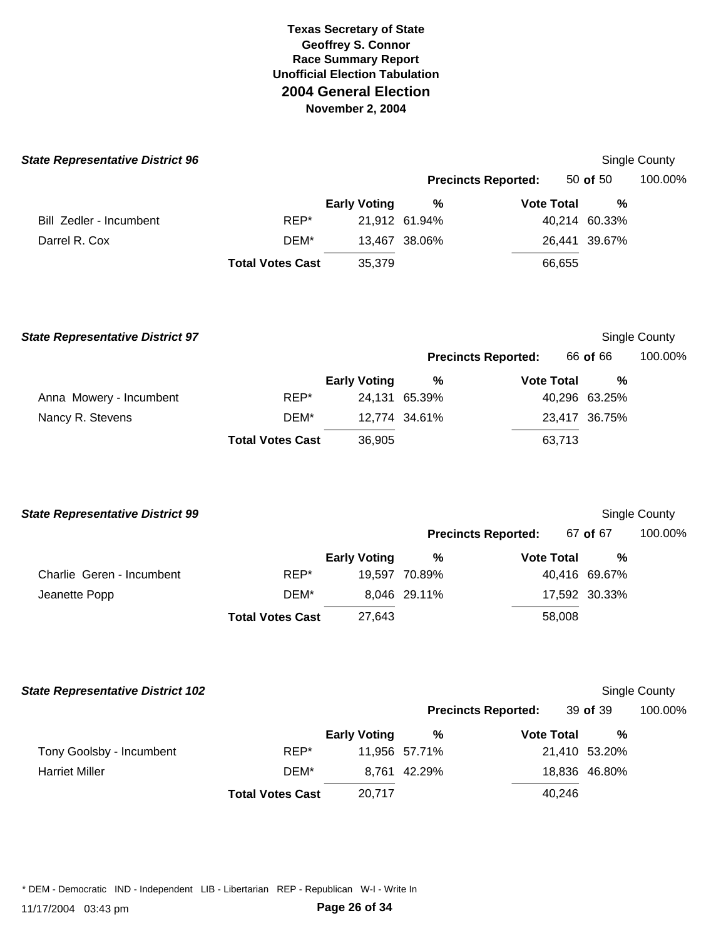| <b>State Representative District 96</b> |                         |                     |                            |                   |                       | Single County |
|-----------------------------------------|-------------------------|---------------------|----------------------------|-------------------|-----------------------|---------------|
|                                         |                         |                     | <b>Precincts Reported:</b> |                   | 50 of 50              | 100.00%       |
|                                         |                         | <b>Early Voting</b> | $\%$                       | <b>Vote Total</b> | $\frac{0}{0}$         |               |
| Bill Zedler - Incumbent                 | REP*                    |                     | 21,912 61.94%              |                   | 40,214 60.33%         |               |
| Darrel R. Cox                           | DEM*                    |                     | 13,467 38.06%              |                   | 26,441 39.67%         |               |
|                                         | <b>Total Votes Cast</b> | 35,379              |                            | 66,655            |                       |               |
| <b>State Representative District 97</b> |                         |                     |                            |                   |                       | Single County |
|                                         |                         |                     | <b>Precincts Reported:</b> |                   | 66 of 66              | 100.00%       |
|                                         |                         | <b>Early Voting</b> | $\frac{9}{6}$              | <b>Vote Total</b> | $\frac{0}{0}$         |               |
| Anna Mowery - Incumbent                 | REP*                    |                     | 24,131 65.39%              |                   | 40,296 63.25%         |               |
| Nancy R. Stevens                        | DEM*                    |                     | 12,774 34.61%              |                   | 23,417 36.75%         |               |
|                                         | <b>Total Votes Cast</b> | 36,905              |                            | 63,713            |                       |               |
| <b>State Representative District 99</b> |                         |                     |                            |                   |                       | Single County |
|                                         |                         |                     | <b>Precincts Reported:</b> |                   | 67 of 67              | 100.00%       |
| Charlie Geren - Incumbent               | REP*                    | <b>Early Voting</b> | $\%$<br>19,597 70.89%      | <b>Vote Total</b> | $\%$<br>40,416 69.67% |               |
| Jeanette Popp                           | DEM*                    |                     | 8,046 29.11%               |                   | 17,592 30.33%         |               |
|                                         | <b>Total Votes Cast</b> | 27,643              |                            | 58,008            |                       |               |

**State Representative District 102** Single County

|                          |                         |                     |               | <b>Precincts Reported:</b> | 39 of 39      | 100.00% |  |
|--------------------------|-------------------------|---------------------|---------------|----------------------------|---------------|---------|--|
|                          |                         | <b>Early Voting</b> | %             | <b>Vote Total</b>          | %             |         |  |
| Tony Goolsby - Incumbent | REP*                    |                     | 11,956 57.71% |                            | 21,410 53.20% |         |  |
| <b>Harriet Miller</b>    | DEM*                    |                     | 8.761 42.29%  |                            | 18,836 46.80% |         |  |
|                          | <b>Total Votes Cast</b> | 20,717              |               | 40,246                     |               |         |  |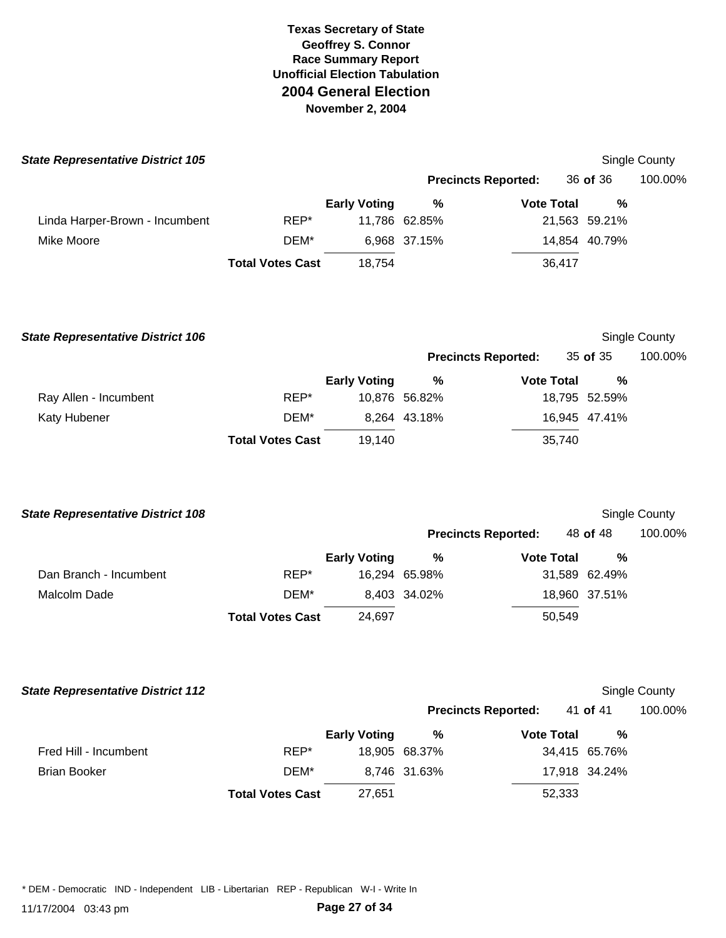| <b>State Representative District 105</b> |                         |                     |               |                            |               | Single County |
|------------------------------------------|-------------------------|---------------------|---------------|----------------------------|---------------|---------------|
|                                          |                         |                     |               | <b>Precincts Reported:</b> | 36 of 36      | 100.00%       |
|                                          |                         | <b>Early Voting</b> | %             | <b>Vote Total</b>          | %             |               |
| Linda Harper-Brown - Incumbent           | REP*                    |                     | 11,786 62.85% |                            | 21,563 59.21% |               |
| Mike Moore                               | DEM*                    |                     | 6.968 37.15%  |                            | 14,854 40.79% |               |
|                                          | <b>Total Votes Cast</b> | 18.754              |               | 36,417                     |               |               |
|                                          |                         |                     |               |                            |               |               |

| <b>State Representative District 106</b> |                         |                     |                            |                   |               | Single County |
|------------------------------------------|-------------------------|---------------------|----------------------------|-------------------|---------------|---------------|
|                                          |                         |                     | <b>Precincts Reported:</b> |                   | 35 of 35      | 100.00%       |
|                                          |                         | <b>Early Voting</b> | %                          | <b>Vote Total</b> | %             |               |
| Ray Allen - Incumbent                    | REP*                    |                     | 10.876 56.82%              |                   | 18,795 52.59% |               |
| Katy Hubener                             | DEM*                    |                     | 8.264 43.18%               |                   | 16,945 47.41% |               |
|                                          | <b>Total Votes Cast</b> | 19.140              |                            | 35,740            |               |               |

|      |                                          |                         |                        |                            | Single County                                                             |
|------|------------------------------------------|-------------------------|------------------------|----------------------------|---------------------------------------------------------------------------|
|      |                                          |                         |                        |                            | 100.00%                                                                   |
|      | <b>Early Voting</b>                      | %                       |                        | %                          |                                                                           |
| REP* |                                          | 65.98%                  |                        |                            |                                                                           |
| DEM* |                                          |                         |                        |                            |                                                                           |
|      | 24,697                                   |                         |                        |                            |                                                                           |
|      | <b>State Representative District 108</b> | <b>Total Votes Cast</b> | 16.294<br>8,403 34.02% | <b>Precincts Reported:</b> | 48 of 48<br><b>Vote Total</b><br>31,589 62.49%<br>18,960 37.51%<br>50,549 |

| <b>State Representative District 112</b> |                         |                     |               |                            |               | Single County |
|------------------------------------------|-------------------------|---------------------|---------------|----------------------------|---------------|---------------|
|                                          |                         |                     |               | <b>Precincts Reported:</b> | 41 of 41      | 100.00%       |
|                                          |                         | <b>Early Voting</b> | %             | <b>Vote Total</b>          | %             |               |
| Fred Hill - Incumbent                    | REP*                    |                     | 18,905 68.37% |                            | 34,415 65.76% |               |
| <b>Brian Booker</b>                      | DEM*                    |                     | 8,746 31.63%  |                            | 17,918 34.24% |               |
|                                          | <b>Total Votes Cast</b> | 27,651              |               | 52,333                     |               |               |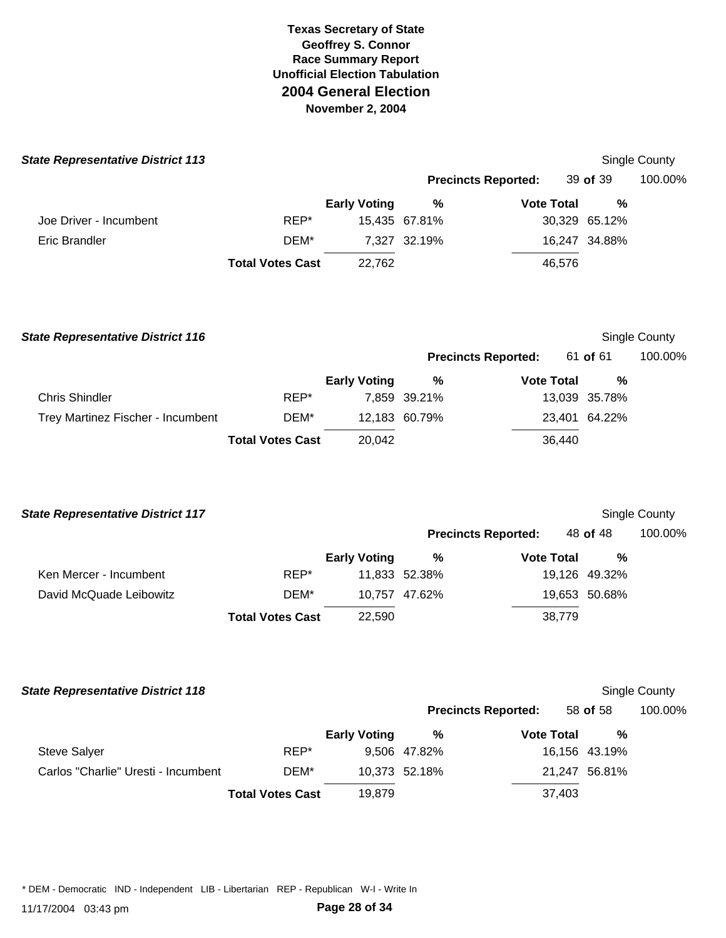| <b>State Representative District 113</b> |                         |                     |               |                            |               | Single County |
|------------------------------------------|-------------------------|---------------------|---------------|----------------------------|---------------|---------------|
|                                          |                         |                     |               | <b>Precincts Reported:</b> | 39 of 39      | 100.00%       |
|                                          |                         | <b>Early Voting</b> | %             | <b>Vote Total</b>          | %             |               |
| Joe Driver - Incumbent                   | REP*                    |                     | 15,435 67.81% |                            | 30,329 65.12% |               |
| Eric Brandler                            | DEM*                    |                     | 7,327 32.19%  |                            | 16,247 34.88% |               |
|                                          | <b>Total Votes Cast</b> | 22,762              |               | 46,576                     |               |               |
|                                          |                         |                     |               |                            |               |               |

| <b>State Representative District 116</b> |                         |                     |               |                            |               | Single County |
|------------------------------------------|-------------------------|---------------------|---------------|----------------------------|---------------|---------------|
|                                          |                         |                     |               | <b>Precincts Reported:</b> | 61 of 61      | 100.00%       |
|                                          |                         | <b>Early Voting</b> | %             | <b>Vote Total</b>          | %             |               |
| <b>Chris Shindler</b>                    | REP*                    |                     | 7,859 39.21%  |                            | 13,039 35.78% |               |
| Trey Martinez Fischer - Incumbent        | DEM*                    |                     | 12,183 60.79% |                            | 23,401 64.22% |               |
|                                          | <b>Total Votes Cast</b> | 20,042              |               | 36,440                     |               |               |

| <b>State Representative District 117</b> |                         |                     |               |                            |               | Single County |
|------------------------------------------|-------------------------|---------------------|---------------|----------------------------|---------------|---------------|
|                                          |                         |                     |               | <b>Precincts Reported:</b> | 48 of 48      | 100.00%       |
|                                          |                         | <b>Early Voting</b> | %             | <b>Vote Total</b>          | %             |               |
| Ken Mercer - Incumbent                   | REP*                    |                     | 11,833 52.38% |                            | 19,126 49.32% |               |
| David McQuade Leibowitz                  | DEM*                    |                     | 10.757 47.62% |                            | 19,653 50.68% |               |
|                                          | <b>Total Votes Cast</b> | 22,590              |               | 38,779                     |               |               |

| <b>State Representative District 118</b> |                         |                     |               |                            |               | Single County |
|------------------------------------------|-------------------------|---------------------|---------------|----------------------------|---------------|---------------|
|                                          |                         |                     |               | <b>Precincts Reported:</b> | 58 of 58      | 100.00%       |
|                                          |                         | <b>Early Voting</b> | %             | <b>Vote Total</b>          | %             |               |
| <b>Steve Salyer</b>                      | REP*                    |                     | 9,506 47.82%  |                            | 16,156 43.19% |               |
| Carlos "Charlie" Uresti - Incumbent      | DEM*                    |                     | 10,373 52.18% |                            | 21,247 56.81% |               |
|                                          | <b>Total Votes Cast</b> | 19,879              |               | 37,403                     |               |               |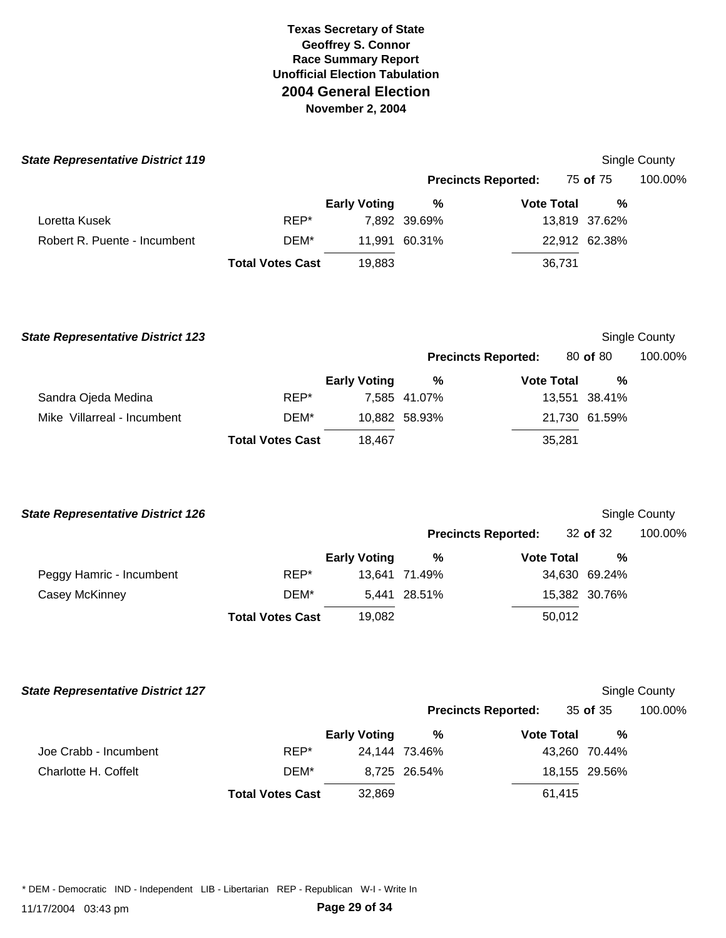| <b>State Representative District 119</b> |                         |                     |               |                            |               | Single County |
|------------------------------------------|-------------------------|---------------------|---------------|----------------------------|---------------|---------------|
|                                          |                         |                     |               | <b>Precincts Reported:</b> | 75 of 75      | 100.00%       |
|                                          |                         | <b>Early Voting</b> | %             | <b>Vote Total</b>          | %             |               |
| Loretta Kusek                            | REP*                    |                     | 7,892 39.69%  |                            | 13,819 37.62% |               |
| Robert R. Puente - Incumbent             | DEM*                    |                     | 11,991 60.31% |                            | 22,912 62.38% |               |
|                                          | <b>Total Votes Cast</b> | 19,883              |               | 36,731                     |               |               |
| <b>State Representative District 123</b> |                         |                     |               |                            |               | Single County |
|                                          |                         |                     |               | <b>Precincts Reported:</b> | 80 of 80      | 100.00%       |
|                                          |                         | <b>Early Voting</b> | %             | <b>Vote Total</b>          | %             |               |
| Sandra Ojeda Medina                      | REP*                    |                     | 7,585 41.07%  |                            | 13,551 38.41% |               |
| Mike Villarreal - Incumbent              | DEM*                    |                     | 10,882 58.93% |                            | 21,730 61.59% |               |
|                                          | <b>Total Votes Cast</b> | 18,467              |               | 35,281                     |               |               |
| <b>State Representative District 126</b> |                         |                     |               |                            |               | Single County |
|                                          |                         |                     |               | <b>Precincts Reported:</b> | 32 of 32      | 100.00%       |
|                                          |                         | <b>Early Voting</b> | $\%$          | <b>Vote Total</b>          | %             |               |
| Peggy Hamric - Incumbent                 | REP*                    |                     | 13,641 71.49% |                            | 34,630 69.24% |               |
| Casey McKinney                           | DEM*                    |                     | 5,441 28.51%  |                            | 15,382 30.76% |               |
|                                          | <b>Total Votes Cast</b> | 19,082              |               | 50,012                     |               |               |
| <b>State Representative District 127</b> |                         |                     |               |                            |               | Single County |
|                                          |                         |                     |               | <b>Precincts Reported:</b> | 35 of 35      | 100.00%       |
|                                          |                         | <b>Early Voting</b> | %             | <b>Vote Total</b>          | $\%$          |               |
| Joe Crabb - Incumbent                    | REP*                    |                     | 24,144 73.46% |                            | 43,260 70.44% |               |
| Charlotte H. Coffelt                     | DEM*                    |                     | 8,725 26.54%  |                            | 18,155 29.56% |               |

**Total Votes Cast** 32,869 61,415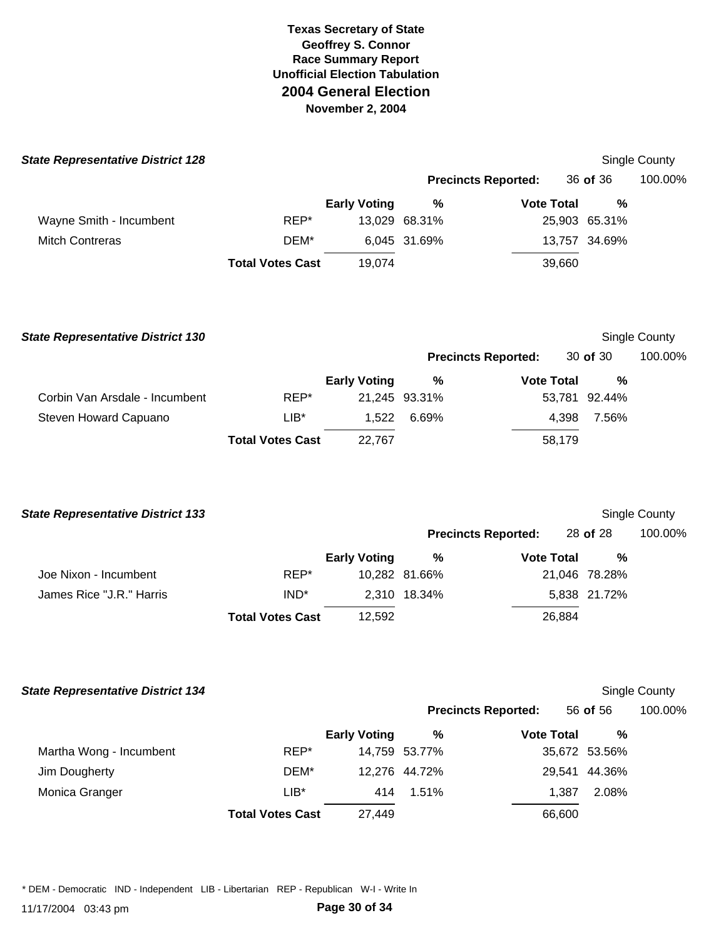| <b>State Representative District 128</b> |                         |                     |               |                            |               | Single County |
|------------------------------------------|-------------------------|---------------------|---------------|----------------------------|---------------|---------------|
|                                          |                         |                     |               | <b>Precincts Reported:</b> | 36 of 36      | 100.00%       |
|                                          |                         | <b>Early Voting</b> | %             | <b>Vote Total</b>          | %             |               |
| Wayne Smith - Incumbent                  | REP*                    |                     | 13,029 68.31% |                            | 25,903 65.31% |               |
| <b>Mitch Contreras</b>                   | DEM*                    |                     | 6,045 31.69%  |                            | 13,757 34.69% |               |
|                                          | <b>Total Votes Cast</b> | 19.074              |               | 39,660                     |               |               |
|                                          |                         |                     |               |                            |               |               |

| <b>State Representative District 130</b> |                         |                     |               |                            |               | Single County |
|------------------------------------------|-------------------------|---------------------|---------------|----------------------------|---------------|---------------|
|                                          |                         |                     |               | <b>Precincts Reported:</b> | 30 of 30      | 100.00%       |
|                                          |                         | <b>Early Voting</b> | %             | <b>Vote Total</b>          | %             |               |
| Corbin Van Arsdale - Incumbent           | REP*                    |                     | 21,245 93.31% |                            | 53,781 92.44% |               |
| Steven Howard Capuano                    | $LIB*$                  | 1,522               | 6.69%         | 4.398                      | 7.56%         |               |
|                                          | <b>Total Votes Cast</b> | 22.767              |               | 58,179                     |               |               |

|                  |                     |                         |                               |                            | <b>Single County</b>                                                     |
|------------------|---------------------|-------------------------|-------------------------------|----------------------------|--------------------------------------------------------------------------|
|                  |                     |                         |                               |                            | 100.00%                                                                  |
|                  | <b>Early Voting</b> | %                       |                               | %                          |                                                                          |
| REP*             |                     |                         |                               |                            |                                                                          |
| IND <sup>*</sup> |                     |                         |                               |                            |                                                                          |
|                  | 12,592              |                         |                               |                            |                                                                          |
|                  |                     | <b>Total Votes Cast</b> | 10,282 81.66%<br>2,310 18.34% | <b>Precincts Reported:</b> | 28 of 28<br><b>Vote Total</b><br>21,046 78.28%<br>5,838 21.72%<br>26,884 |

|  |  | <b>State Representative District 134</b> |  |  |
|--|--|------------------------------------------|--|--|
|--|--|------------------------------------------|--|--|

# **Single County**

|                         |                         |                     | <b>Precincts Reported:</b> |                   | 56 of 56      | 100.00% |
|-------------------------|-------------------------|---------------------|----------------------------|-------------------|---------------|---------|
|                         |                         | <b>Early Voting</b> | %                          | <b>Vote Total</b> | %             |         |
| Martha Wong - Incumbent | REP*                    |                     | 14,759 53.77%              |                   | 35,672 53.56% |         |
| Jim Dougherty           | DEM*                    |                     | 12,276 44.72%              |                   | 29.541 44.36% |         |
| Monica Granger          | $LIB^*$                 | 414                 | 1.51%                      | 1.387             | 2.08%         |         |
|                         | <b>Total Votes Cast</b> | 27,449              |                            | 66,600            |               |         |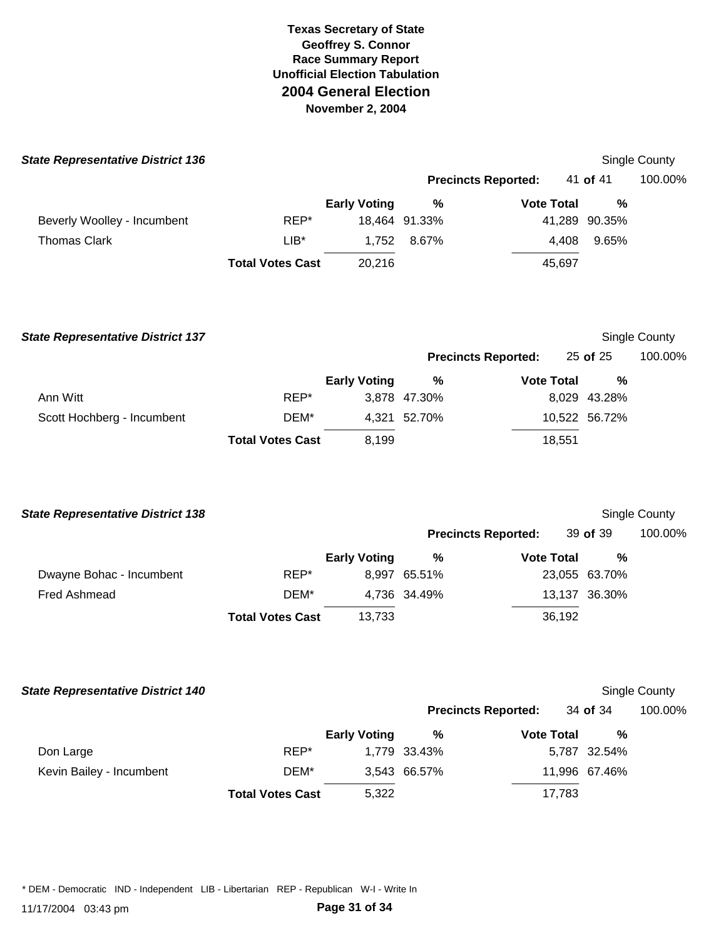| <b>State Representative District 136</b> |                         |                     |               |                            |               | Single County |
|------------------------------------------|-------------------------|---------------------|---------------|----------------------------|---------------|---------------|
|                                          |                         |                     |               | <b>Precincts Reported:</b> | 41 of 41      | 100.00%       |
|                                          |                         | <b>Early Voting</b> | $\%$          | <b>Vote Total</b>          | %             |               |
| Beverly Woolley - Incumbent              | REP*                    |                     | 18,464 91.33% |                            | 41,289 90.35% |               |
| <b>Thomas Clark</b>                      | $LIB^*$                 | 1,752               | 8.67%         | 4,408                      | 9.65%         |               |
|                                          | <b>Total Votes Cast</b> | 20,216              |               | 45,697                     |               |               |
| <b>State Representative District 137</b> |                         |                     |               |                            |               | Single County |
|                                          |                         |                     |               | <b>Precincts Reported:</b> | 25 of 25      | 100.00%       |
|                                          |                         | <b>Early Voting</b> | $\%$          | <b>Vote Total</b>          | %             |               |
| Ann Witt                                 | REP*                    |                     | 3,878 47.30%  |                            | 8,029 43.28%  |               |
| Scott Hochberg - Incumbent               | DEM*                    |                     | 4,321 52.70%  |                            | 10,522 56.72% |               |
|                                          | <b>Total Votes Cast</b> | 8,199               |               | 18,551                     |               |               |
| <b>State Representative District 138</b> |                         |                     |               |                            |               | Single County |
|                                          |                         |                     |               | <b>Precincts Reported:</b> | 39 of 39      | 100.00%       |
|                                          |                         | <b>Early Voting</b> | $\%$          | <b>Vote Total</b>          | %             |               |
| Dwayne Bohac - Incumbent                 | REP*                    |                     | 8,997 65.51%  |                            | 23,055 63.70% |               |
| Fred Ashmead                             | DEM*                    |                     | 4,736 34.49%  |                            | 13,137 36.30% |               |
|                                          | <b>Total Votes Cast</b> | 13,733              |               | 36,192                     |               |               |
| <b>State Representative District 140</b> |                         |                     |               |                            |               | Single County |
|                                          |                         |                     |               | <b>Precincts Reported:</b> | 34 of 34      | 100.00%       |
|                                          |                         | <b>Early Voting</b> | $\%$          | <b>Vote Total</b>          | %             |               |
| Don Large                                | REP*                    |                     | 1,779 33.43%  |                            | 5,787 32.54%  |               |
| Kevin Bailey - Incumbent                 | DEM*                    |                     | 3,543 66.57%  |                            | 11,996 67.46% |               |
|                                          | <b>Total Votes Cast</b> | 5,322               |               | 17,783                     |               |               |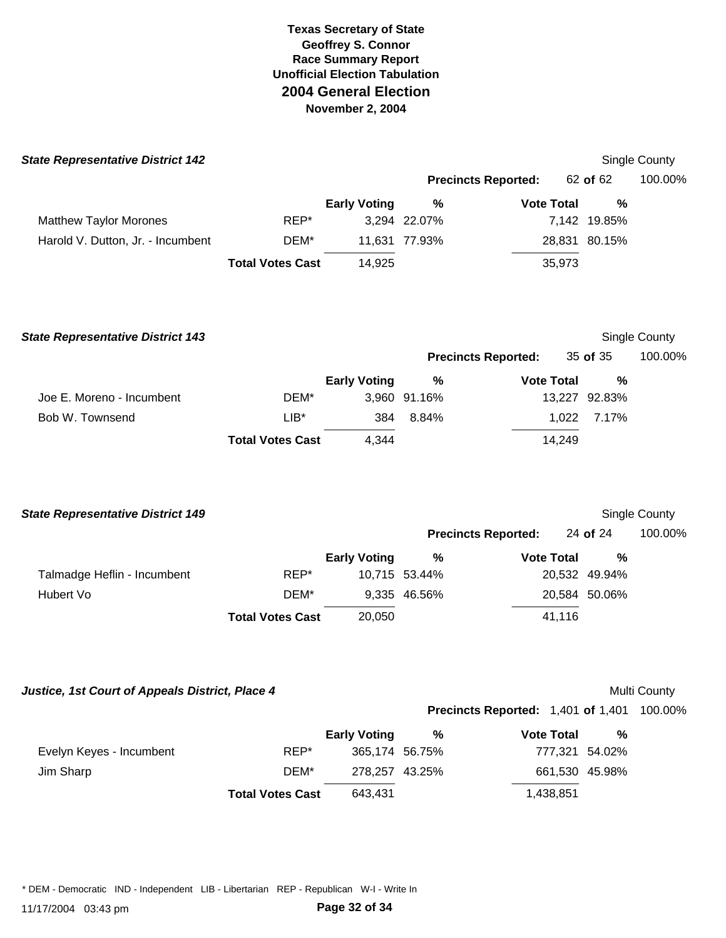| <b>State Representative District 142</b> |                         |                     |               |                            |               | <b>Single County</b> |
|------------------------------------------|-------------------------|---------------------|---------------|----------------------------|---------------|----------------------|
|                                          |                         |                     |               | <b>Precincts Reported:</b> | 62 of 62      | 100.00%              |
|                                          |                         | <b>Early Voting</b> | %             | <b>Vote Total</b>          | $\frac{0}{0}$ |                      |
| <b>Matthew Taylor Morones</b>            | REP*                    |                     | 3,294 22.07%  |                            | 7,142 19.85%  |                      |
| Harold V. Dutton, Jr. - Incumbent        | DEM*                    | 11,631              | 77.93%        |                            | 28,831 80.15% |                      |
|                                          | <b>Total Votes Cast</b> | 14,925              |               | 35,973                     |               |                      |
| <b>State Representative District 143</b> |                         |                     |               |                            |               | <b>Single County</b> |
|                                          |                         |                     |               | <b>Precincts Reported:</b> | 35 of 35      | 100.00%              |
|                                          |                         | <b>Early Voting</b> | %             | <b>Vote Total</b>          | $\frac{0}{0}$ |                      |
| Joe E. Moreno - Incumbent                | DEM*                    |                     | 3,960 91.16%  |                            | 13,227 92.83% |                      |
| Bob W. Townsend                          | $LIB*$                  | 384                 | 8.84%         | 1,022                      | 7.17%         |                      |
|                                          | <b>Total Votes Cast</b> | 4,344               |               | 14,249                     |               |                      |
|                                          |                         |                     |               |                            |               |                      |
| <b>State Representative District 149</b> |                         |                     |               |                            |               | <b>Single County</b> |
|                                          |                         |                     |               | <b>Precincts Reported:</b> | 24 of 24      | 100.00%              |
|                                          |                         | <b>Early Voting</b> | %             | <b>Vote Total</b>          | $\frac{0}{0}$ |                      |
| Talmadge Heflin - Incumbent              | REP*                    |                     | 10,715 53.44% |                            | 20,532 49.94% |                      |
| Hubert Vo                                | DEM*                    |                     | 9,335 46.56%  |                            | 20,584 50.06% |                      |

*Justice, 1st Court of Appeals District, Place 4* **Multi County 6 and 7 and 7 and 7 and 7 and 7 and 7 and 7 and 7 and 7 and 7 and 7 and 7 and 7 and 7 and 7 and 7 and 7 and 7 and 7 and 7 and 7 and 7 and 7 and 7 and 7 and 7** 

**Precincts Reported:** 1,401 **of** 1,401 100.00%

|                          |                         | <b>Early Voting</b> | % | <b>Vote Total</b> | % |
|--------------------------|-------------------------|---------------------|---|-------------------|---|
| Evelyn Keyes - Incumbent | REP*                    | 365,174 56.75%      |   | 777.321 54.02%    |   |
| Jim Sharp                | DEM*                    | 278.257 43.25%      |   | 661,530 45.98%    |   |
|                          | <b>Total Votes Cast</b> | 643,431             |   | 1,438,851         |   |

**Total Votes Cast** 20,050 41,116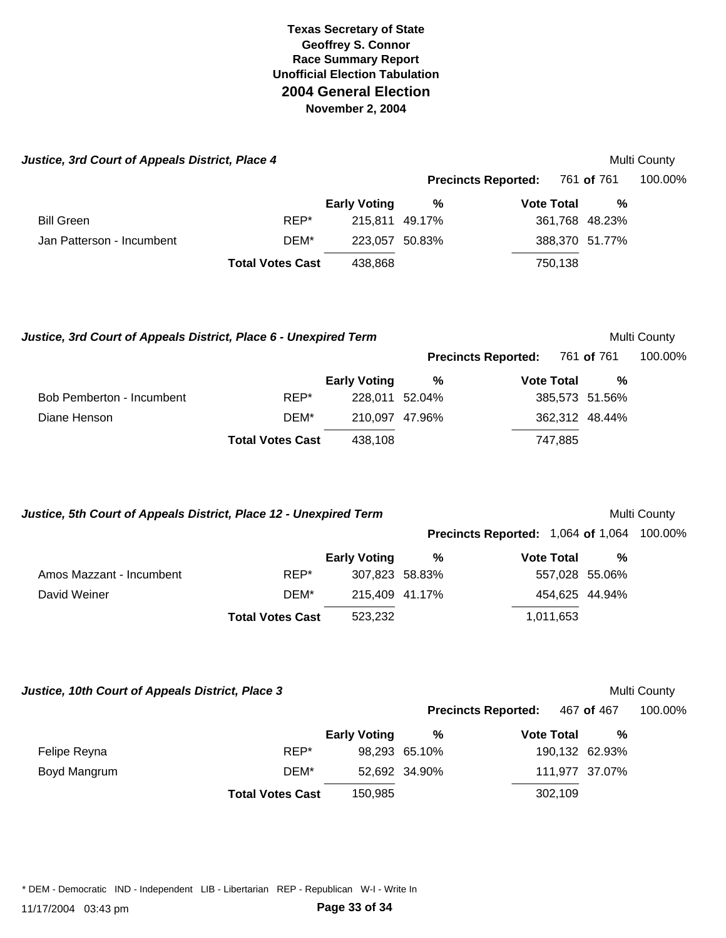| Justice, 3rd Court of Appeals District, Place 4 |                         |                     |        |                            |                | Multi County |
|-------------------------------------------------|-------------------------|---------------------|--------|----------------------------|----------------|--------------|
|                                                 |                         |                     |        | <b>Precincts Reported:</b> | 761 of 761     | 100.00%      |
|                                                 |                         | <b>Early Voting</b> | %      | <b>Vote Total</b>          | %              |              |
| <b>Bill Green</b>                               | REP*                    | 215,811 49.17%      |        |                            | 361,768 48.23% |              |
| Jan Patterson - Incumbent                       | DEM*                    | 223.057             | 50.83% |                            | 388,370 51.77% |              |
|                                                 | <b>Total Votes Cast</b> | 438,868             |        | 750,138                    |                |              |

Justice, 3rd Court of Appeals District, Place 6 - Unexpired Term **Multi County** Multi County

|                           |                         | <b>Early Voting</b> | %              | <b>Vote Total</b> | %              |
|---------------------------|-------------------------|---------------------|----------------|-------------------|----------------|
| Bob Pemberton - Incumbent | REP*                    |                     | 228.011 52.04% |                   | 385,573 51.56% |
| Diane Henson              | DEM*                    |                     | 210.097 47.96% | 362,312 48.44%    |                |
|                           | <b>Total Votes Cast</b> | 438.108             |                | 747.885           |                |

Justice, 5th Court of Appeals District, Place 12 - Unexpired Term **Multi County** Multi County

**Precincts Reported:** 761 **of** 761 100.00%

|                          |                         |                     |   | <b>Precincts Reported: 1,064 of 1,064 100.00%</b> |                |  |
|--------------------------|-------------------------|---------------------|---|---------------------------------------------------|----------------|--|
|                          |                         | <b>Early Voting</b> | % | <b>Vote Total</b>                                 | %              |  |
| Amos Mazzant - Incumbent | REP*                    | 307,823 58.83%      |   |                                                   | 557,028 55.06% |  |
| David Weiner             | DEM*                    | 215,409 41.17%      |   |                                                   | 454,625 44.94% |  |
|                          | <b>Total Votes Cast</b> | 523.232             |   | 1,011,653                                         |                |  |

*Justice, 10th Court of Appeals District, Place 3* **Multi County Apple 2014 12:31 Multi County Appeals District, Place 3** 

|              |                         |                     |               | <b>Precincts Reported:</b> | 467 of 467     | 100.00% |
|--------------|-------------------------|---------------------|---------------|----------------------------|----------------|---------|
|              |                         | <b>Early Voting</b> | %             | <b>Vote Total</b>          | %              |         |
| Felipe Reyna | REP*                    |                     | 98,293 65.10% |                            | 190,132 62.93% |         |
| Boyd Mangrum | DEM*                    |                     | 52.692 34.90% |                            | 111,977 37.07% |         |
|              | <b>Total Votes Cast</b> | 150.985             |               | 302,109                    |                |         |